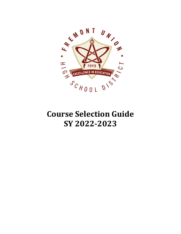

# **Course Selection Guide SY 2022-2023**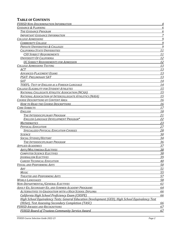### **TABLE OF CONTENTS**

| <b>FUHSD NON-DISCRIMINATION INFORMATION</b>                                                      | $\overline{4}$ |
|--------------------------------------------------------------------------------------------------|----------------|
| <b>GUIDANCE &amp; PLANNING</b>                                                                   | 6              |
| THE GUIDANCE PROGRAM                                                                             | 6              |
| <b>IMPORTANT GUIDANCE INFORMATION</b>                                                            | 7              |
| <b>COLLEGE ADMISSIONS</b>                                                                        | 9              |
| <b>COMMUNITY COLLEGE</b>                                                                         | 9              |
| <b>PRIVATE UNIVERSITIES &amp; COLLEGES</b>                                                       | 9              |
| <b>CALIFORNIA STATE UNIVERSITIES</b>                                                             | 11             |
| <b>CSU SUBIECT REQUIREMENTS</b>                                                                  | 11             |
| <b>UNIVERSITY OF CALIFORNIA</b>                                                                  | 12             |
| <b>UC SUBJECT REQUIREMENTS FOR ADMISSION</b>                                                     | 12             |
| <b>COLLEGE ADMISSIONS TESTING</b>                                                                | 13             |
| <b>ACT</b>                                                                                       | 13             |
| <b>ADVANCED PLACEMENT EXAMS</b>                                                                  | 13             |
| PSAT: PRELIMINARY SAT                                                                            | 13             |
| <b>SAT</b>                                                                                       | 14             |
| <b>TOEFL: TEST OF ENGLISH AS A FOREIGN LANGUAGE</b>                                              | 14             |
| <b>COLLEGE ELIGIBILITY FOR STUDENT ATHLETES</b>                                                  | 15             |
| <b>NATIONAL COLLEGIATE ATHLETIC ASSOCIATION (NCAA)</b>                                           | 15             |
| <b>NATIONAL ASSOCIATION OF INTERCOLLEGIATE ATHLETICS (NAIA)</b>                                  | 15             |
| <b>COURSE DESCRIPTIONS BY CONTENT AREA</b>                                                       | 16             |
| <b>HOW TO READ THE COURSE DESCRIPTIONS</b>                                                       | 16             |
| <b>CORE SUBJECTS</b>                                                                             | 17             |
| <b>ENGLISH</b>                                                                                   | 18             |
| THE INTERDISCIPLINARY PROGRAM                                                                    | 21             |
| ENGLISH LANGUAGE DEVELOPMENT PROGRAM*                                                            | 22             |
| <b>MATHEMATICS</b>                                                                               | 23             |
| PHYSICAL EDUCATION                                                                               | 27             |
| <b>SPECIALIZED PHYSICAL EDUCATION COURSES</b>                                                    | 28             |
| <b>SCIENCE</b>                                                                                   | 30             |
| <b>SOCIAL STUDIES/HISTORY</b>                                                                    | 34             |
| THE INTERDISCIPLINARY PROGRAM                                                                    | 36             |
| <b>APPLIED ACADEMICS</b>                                                                         | 37             |
| <u> Arts/Multimedia Electives</u>                                                                | 38             |
| <b>COMPUTER SCIENCE ELECTIVES</b>                                                                | 38             |
| <b>JOURNALISM ELECTIVES</b>                                                                      | 39             |
| <b>CAREER TECHNICAL EDUCATION</b>                                                                | 40             |
| <b>VISUAL AND PERFORMING ARTS</b>                                                                | 50             |
| ART                                                                                              | 51             |
| Music                                                                                            | 55             |
| THEATER AND PERFORMING ARTS                                                                      | 57             |
| <b>WORLD LANGUAGES</b>                                                                           | 58             |
| NON-DEPARTMENTAL/GENERAL ELECTIVES                                                               | 61             |
| <b>ADULT ED, SECONDARY ED, AND SUMMER ACADEMY PROGRAMS</b>                                       | 64             |
| ALTERNATIVES TO GRADUATION WITH A HIGH SCHOOL DIPLOMA                                            | 66             |
| <b>California High School Proficiency Exam (CHSPE)</b>                                           | 66             |
| High School Equivalency Tests: General Education Development (GED), High School Equivalency Test |                |
| (HiSet), Test Assessing Secondary Completion (TASC)                                              | 66             |
| <b>FUHSD AWARDS AND RECOGNITIONS</b>                                                             | 67             |
| <b>FUHSD Board of Trustees Community Service Award</b>                                           | 67             |
|                                                                                                  |                |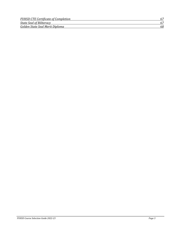| <b>FUHSD CTE Certificate of Completion</b> |    |
|--------------------------------------------|----|
| <b>State Seal of Biliteracy</b>            |    |
| Golden State Seal Merit Diploma            | 68 |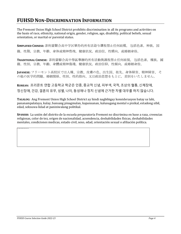# <span id="page-3-0"></span>**FUHSD NON-DISCRIMINATION INFORMATION**

The Fremont Union High School District prohibits discrimination in all its programs and activities on the basis of race, ethnicity, national origin, gender, religion, age, disability, political beliefs, sexual orientation, or marital or parental status.

**SIMPLIFIED CHINESE:** 菲利蒙联合高中学区举办的所有活动与课程禁止任何歧视。 包括色素,种族,国 籍,性别,宗教,年龄,身体或精神伤残,健康状况,政治信,性倾向,或婚姻身份。

**TRADITIONAL CHINESE:** 菲利蒙聯合高中學區舉辦的所有活動與課程禁止任何歧視。 包括色素,種族,國 籍,性別,宗教,年齡,身體或精神傷殘,健康狀況,政治信仰,性傾向,或婚姻身份。

**JAPANESE:** フリーモント高校区では人種、宗教、皮膚の色、出生国、祖先、身体障害、精神障害、 そ の他の医学的問題、婚姻関係、性別、性的指向、又は政治思想をもとに,差別をいたしません。

**KOREAN:** 프리몬트 연합 고등학교 학군은 인종, 종교적 신념, 피부색, 국적, 조상의 혈통, 신체장애, 정신장애, 건강, 결혼의 유무, 성별, 나이, 동성애나 정치 신념에 근거한 차별 대우를 하지 않습니다.

**TAGALOG:** Ang Fremont Union High School District ay hindi nagbibigay konsiderasyon batay sa lahi, pananampalataya, kulay, bansang pinagmulan, kapansanan, kalusugang mental o pisikal, estadong sibil, edad, seksuwa-lidad at paniniwalang politikal.

**SPANISH:** La unión del distrito de la escuela preparatoría Fremont no discrimina en base a raza, creencias religiosas, color de tez, origen de nacionalidad, acsendencia, deshabilidades físicas, deshabilidades mentales, condiciones medicas, estado civil, sexo, edad, orientación sexual o afiliación política.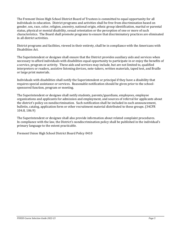The Fremont Union High School District Board of Trustees is committed to equal opportunity for all individuals in education. District programs and activities shall be free from discrimination based on gender, sex, race, color, religion, ancestry, national origin, ethnic group identification, marital or parental status, physical or mental disability, sexual orientation or the perception of one or more of such characteristics. The Board shall promote programs to ensure that discriminatory practices are eliminated in all district activities.

District programs and facilities, viewed in their entirety, shall be in compliance with the Americans with Disabilities Act.

The Superintendent or designee shall ensure that the District provides auxiliary aids and services when necessary to afford individuals with disabilities equal opportunity to participate in or enjoy the benefits of a service, program or activity. These aids and services may include, but are not limited to, qualified interpreters or readers, assistive listening devices, note-takers, written materials, taped test, and Braille or large print materials.

Individuals with disabilities shall notify the Superintendent or principal if they have a disability that requires special assistance or services. Reasonable notification should be given prior to the schoolsponsored function, program or meeting.

The Superintendent or designee shall notify students, parents/guardians, employees, employee organizations and applicants for admission and employment, and sources of referral for applicants about the district's policy on nondiscrimination. Such notification shall be included in each announcement, bulletin, catalog, application form or other recruitment material distributed to these groups. (34CFR 104.8, 106.9)

The Superintendent or designee shall also provide information about related complaint procedures. In compliance with the law, the District's nondiscrimination policy shall be published in the individual's primary language to the extent practicable.

Fremont Union High School District Board Policy 0410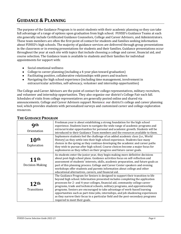# <span id="page-5-0"></span>**GUIDANCE & PLANNING**

The purpose of the Guidance Program is to assist students with their academic planning so they can take full advantage of a range of options upon graduation from high school. FUHSD's Guidance Teams at each site generally include Certificated Guidance Counselors, College and Career Advisors, and Administrators. These team members are often the first point of contact for students and families seeking information about FUHSD's high schools. The majority of guidance services are delivered through group presentations in the classroom or in evening presentations for students and their families. Guidance presentations occur throughout the year at each site with topics that include choosing a college and career, financial aid, and course selection. The Guidance team is available to students and their families for individual appointments for support with:

- Social emotional wellness
- College to career planning (including a 4-year plan toward graduation)
- Facilitating positive, collaborative relationships with peers and teachers
- Navigating the high school experience (including time management, involvement in extracurricular activities, self-advocacy, volunteer and internship opportunities)

The College and Career Advisors are the point of contact for college representatives, military recruiters, and volunteer and internship opportunities. They also organize our district's College Fair each fall. Schedules of visits from college representatives are generally posted online and shared via announcements. College and Career Advisors support *[Naviance](https://connection.naviance.com/auth/fclookup)*, our district's college and career planning tool, which provides students with personalized surveys and customized career and college exploration resources.

| Qth<br>Orientation                     | Freshman year is about establishing a strong foundation for the high school<br>experience. Students learn to navigate the wide range of academic programs and<br>extracurricular opportunities for personal and academic growth. Students will be<br>introduced to their Guidance Team members and the resources available to them.                                                                                                                                                                                                                                                                                      |
|----------------------------------------|--------------------------------------------------------------------------------------------------------------------------------------------------------------------------------------------------------------------------------------------------------------------------------------------------------------------------------------------------------------------------------------------------------------------------------------------------------------------------------------------------------------------------------------------------------------------------------------------------------------------------|
| 10 <sup>th</sup><br>Exploration        | Sophomore students feel the challenge of an added academic class (i.e., World<br>History) as they settle into their high school experience. Students face many<br>choices in the spring as they continue developing the academic and career paths<br>they wish to pursue after high school. Course choices become a major focus for<br>sophomores as they reflect on their progress and future career goals.                                                                                                                                                                                                             |
| <b>11th</b><br>Decision-Making         | As students enter the junior year, they begin making more definitive decisions<br>about post-high school plans. Guidance activities focus on self-reflection and<br>assessment of students' interests, skills, academic preparation, and future goals as<br>part of this planning process. College and Career Center speakers and evening<br>workshops offer students and parents information about college and other<br>educational alternatives, careers, and financial aid.                                                                                                                                           |
| 12 <sup>th</sup><br><b>Transitions</b> | The Guidance Program for Seniors is designed to support their transition to life<br>beyond high school. Information presented includes completing the application<br>processes for 2- and 4-year colleges, financial aid, community college career<br>programs, trade and technical schools, military programs, and apprenticeship<br>programs. Seniors are encouraged to take advantage of work-based learning<br>opportunities such as part-time jobs, internships, and job shadowing experiences<br>as they narrow their focus to a particular field and the post-secondary programs<br>required to meet their goals. |

#### <span id="page-5-1"></span>**THE GUIDANCE PROGRAM**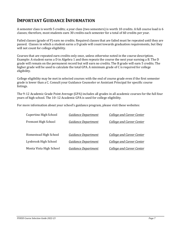# <span id="page-6-0"></span>**IMPORTANT GUIDANCE INFORMATION**

A semester class is worth 5 credits; a year class (two semesters) is worth 10 credits. A full course load is 6 classes; therefore, most students earn 30 credits each semester for a total of 60 credits per year.

Failed classes (grade of F) earn no credits. Required classes that are failed must be repeated until they are passed. Classes in which a student earns a D grade will count towards graduation requirements, but they will not count for college eligibility.

Courses that are repeated earn credits only once, unless otherwise noted in the course description. Example: A student earns a D in Algebra 1 and then repeats the course the next year earning a B. The D grade will remain on the permanent record but will earn no credits. The B grade will earn 5 credits. The higher grade will be used to calculate the total GPA. A minimum grade of C is required for college eligibility.

College eligibility may be met in selected courses with the end of course grade even if the first semester grade is lower than a C. Consult your Guidance Counselor or Assistant Principal for specific course listings.

The 9-12 Academic Grade Point Average (GPA) includes all grades in all academic courses for the full four years of high school. The 10–12 Academic GPA is used for college eligibility.

For more information about your school's guidance program, please visit these websites:

| Cupertino High School      | <b>Guidance Department</b> | <b>College and Career Center</b> |
|----------------------------|----------------------------|----------------------------------|
| <b>Fremont High School</b> | <b>Guidance Department</b> | <b>College and Career Center</b> |
| Homestead High School      | Guidance Department        | College and Career Center        |
| Lynbrook High School       | Guidance Department        | College and Career Center        |
| Monta Vista High School    | Guidance Department        | College and Career Center        |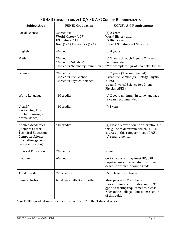| <b>Subject Area</b>                                                                                                                   | <b>FUHSD Graduation</b>                                                                          | <b>UC/CSU A-G Requirements</b>                                                                                                                                             |
|---------------------------------------------------------------------------------------------------------------------------------------|--------------------------------------------------------------------------------------------------|----------------------------------------------------------------------------------------------------------------------------------------------------------------------------|
| Social Science                                                                                                                        | 30 credits:<br>World History (10th),<br>US History (11th),<br>Gov. $(12th)$ , Economics $(12th)$ | (a) 2 Years:<br>World History and<br>US History or<br>1 Sem. US History & 1 Sem. Gov                                                                                       |
| English                                                                                                                               | 40 credits                                                                                       | $(b)$ 4 years                                                                                                                                                              |
| Math                                                                                                                                  | 20 credits:<br>10 credits "Algebra"<br>10 credits "Geometry" minimum                             | (c) 3 years through Algebra 2 (4 years<br>recommended):<br>*Must complete 1 yr of Geometry for UC                                                                          |
| Science                                                                                                                               | 20 credits:<br>10 credits Life Science<br>10 credits Physical Science                            | (d) 2 years (3 recommended):<br>1 year Life Science (ex. Biology, Physio,<br>APES)<br>1 year Physical Science (ex. Chem,<br>Physics, APES)                                 |
| World Language                                                                                                                        | *10 credits                                                                                      | (e) 2 years minimum in same language<br>(3 years recommended)                                                                                                              |
| Visual/<br>Performing Arts<br>(includes music, art,<br>drama, dance)                                                                  | *10 credits                                                                                      | $(f)$ 1 year                                                                                                                                                               |
| <b>Applied Academics</b><br>(includes Career<br>Technical Education,<br>Computer Science,<br>Journalism, general<br>career education) | *10 credits                                                                                      | (g) Please refer to course descriptions in<br>this guide to determine which FUHSD<br>courses in this category meet UC/CSU<br>"g" requirements.                             |
| <b>Physical Education</b>                                                                                                             | 20 credits                                                                                       | None                                                                                                                                                                       |
| Elective                                                                                                                              | 60 credits                                                                                       | Certain courses may meet UC/CSU<br>requirements. Please refer to course<br>descriptions in the course guide.                                                               |
| <b>Total Credits</b>                                                                                                                  | 220 credits                                                                                      | 15 College Prep classes                                                                                                                                                    |
| <b>General Notes</b>                                                                                                                  | Must pass with D's or better                                                                     | Must pass with C's or better<br>(For additional information on UC/CSU<br>gpa and testing requirements, please<br>refer to the College Admissions section<br>of this guide) |

## **FUHSD GRADUATION & UC/CSU A-G COURSE REQUIREMENTS**

\*For FUHSD graduation, students must complete 2 of the 3 starred areas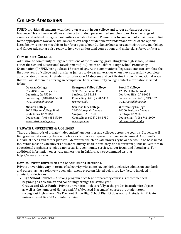# <span id="page-8-0"></span>**COLLEGE ADMISSIONS**

FUHSD provides all students with their own account in our college and career guidance resource, Naviance. This online tool allows students to conduct personalized searches to explore the range of careers and related college opportunities available to them. Please refer to your school's main page to link to the appropriate Naviance site. Naviance can help a student better understand which of the options listed below is best to meet his or her future goals. Your Guidance Counselors, administrators, and College and Career Advisor are also ready to help you understand your options and make plans for your future.

#### <span id="page-8-1"></span>**COMMUNITY COLLEGE**

Admission to community college requires one of the following: graduating from high school, passing either the General Educational Development (GED) Exam or California High School Proficiency Examination (CHSPE), being at least 18 years of age. At the community college, students can complete the first two years of college and transfer as juniors to 4-year universities when they successfully complete appropriate course work. Students can also earn AA degrees and certificates in specific vocational areas that will assist them in entering an occupation. Local community college contact information is listed below:

21250 Stevens Creek Blvd. 3095 Yerba Buena Road 12345 El Monte Road Cupertino, CA 95014 San Jose, CA 95135 Los Altos Hills, CA 94022 *[www.deanza.fhda.edu](http://www.deanza.fhda.edu/) [www.evc.edu](http://www.evc.edu/) [www.foothill.fhda.edu](http://www.foothill.fhda.edu/)*

Santa Clara, CA 95054 San Jose, CA 95128 Saratoga, CA 95070 Counseling: (408) 855-5030 Counseling: (408) 288-3750 Counseling: (408) 741-2009 *[www.missioncollege.org](http://www.missioncollege.org/) [www.sjcc.edu](http://www.sjcc.edu/) <http://westvalley.edu/>*

# **De Anza College Evergreen Valley College Foothill College**

**Mission College San Jose City College West Valley College** 3000 Mission College Blvd. 2100 Moorpark Avenue 14000 Fruitvale Avenue

Counseling: (408) 864-5400 Counseling: (408) 270-6474 Career Center: (650) 949-7229

#### <span id="page-8-2"></span>**PRIVATE UNIVERSITIES & COLLEGES**

There are hundreds of private (independent) universities and colleges across the country. Students will find great variety among these schools as each offers a unique educational environment. A student's individual needs and career plans will determine which private university he or she would be best suited for. While most private universities are relatively small in size, they also differ from public universities in educational emphasis: religious, nonsectarian, community service, career focus, and liberal arts. For additional information on private universities in California, we recommend visiting [http://www.aiccu.edu.](http://www.aiccu.edu/)

#### **How Do Private Universities Make Admissions Decisions?**

Private universities vary in terms of selectivity with some having highly selective admission standards and others having a relatively open admissions program. Listed below are key factors involved in admissions decisions:

**• High School Courses** – A strong program of college preparatory courses is recommended beginning as a freshman and continuing through the senior year.

**Grades and Class Rank** – Private universities look carefully at the grades in academic subjects as well as the number of Honors and AP (Advanced Placement) courses the student took throughout high school. The Fremont Union High School District does not rank students. Private universities utilize GPAs to infer ranking.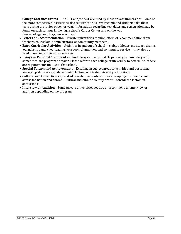- **College Entrance Exams**  The SAT and/or ACT are used by most private universities. Some of the more competitive institutions also require the SAT. We recommend students take these tests during the junior or senior year. Information regarding test dates and registration may be found on each campus in the high school's Career Center and on the web (www.collegeboard.org, www.act.org)
- **Letters of Recommendation**  Private universities require letters of recommendation from teachers, counselors, administrators, or community members.
- **Extra Curricular Activities**  Activities in and out of school ― clubs, athletics, music, art, drama, journalism, band, cheerleading, yearbook, alumni ties, and community service ― may also be used in making admissions decisions.
- **Essays or Personal Statements**  Short essays are required. Topics vary by university and, sometimes, the program or major. Please refer to each college or university to determine if there are requirements unique to that school.
- **Special Talents and Achievements**  Excelling in subject areas or activities and possessing leadership skills are also determining factors in private university admissions**.**
- **Cultural or Ethnic Diversity**  Most private universities prefer a sampling of students from across the nation and abroad. Cultural and ethnic diversity are still considered factors in admissions.
- **Interview or Audition**  Some private universities require or recommend an interview or audition depending on the program.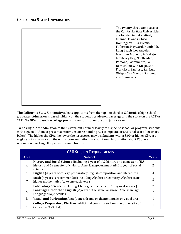<span id="page-10-0"></span>

The twenty-three campuses of the California State Universities are located in Bakersfield, Channel Islands, Chico, Dominguez Hills, Fresno, Fullerton, Hayward, Humboldt, Long Beach, Los Angeles, Maritime Academy in Vallejo, Monterey Bay, Northridge, Pomona, Sacramento, San Bernardino, San Diego, San Francisco, San Jose, San Luis Obispo, San Marcos, Sonoma, and Stanislaus.

**The California State University** selects applicants from the top one-third of California's high school graduates. Admission is based initially on the student's grade point average and the score on the ACT or SAT. The GPA is based on college prep courses for sophomore and junior years.

**To be eligible** for admission to the system, but not necessarily to a specific school or program, students with a given GPA must present a minimum corresponding ACT composite or SAT total score (see chart below). The higher the GPA, the lower the test scores may be. Students with a 3.00 or higher GPA are eligible with any score on the entrance examination. For additional information about CSU, we recommend visitin[g http://www.csumentor.edu.](http://www.csumentor.edu/)

<span id="page-10-1"></span>

| <b>CSU SUBJECT REQUIREMENTS</b> |                                                                                                                                                                    |              |
|---------------------------------|--------------------------------------------------------------------------------------------------------------------------------------------------------------------|--------------|
| <b>Area</b>                     | <b>Subject</b>                                                                                                                                                     | <b>Years</b> |
| a.                              | History and Social Science (including 1 year of U.S. history or 1 semester of U.S.<br>history and 1 semester of civics or American government AND 1 year of social | 2            |
| b.                              | science)<br><b>English</b> (4 years of college preparatory English composition and literature)                                                                     | 4            |
| c.                              | Math (4 years is recommended) including Algebra I, Geometry, Algebra II, or<br>higher mathematics (take one each year)                                             | 3            |
| d.                              | <b>Laboratory Science</b> (including 1 biological science and 1 physical science)                                                                                  | 2            |
| e.                              | Language Other than English (2 years of the same language; American Sign<br>Language is applicable)                                                                | 2            |
| f.                              | Visual and Performing Arts (dance, drama or theater, music, or visual art)                                                                                         | 1            |
| g.                              | <b>College Preparatory Elective</b> (additional year chosen from the University of<br>California "A-G" list)                                                       | 1            |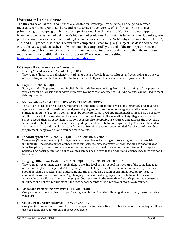#### <span id="page-11-0"></span>**UNIVERSITY OF CALIFORNIA**

The University of California campuses are located in Berkeley, Davis, Irvine, Los Angeles, Merced, Riverside, San Diego, Santa Barbara, and Santa Cruz. The University of California in San Francisco is primarily a graduate program in the health professions. The University of California selects applicants from the top nine percent of California's high school graduates. Admission is based on the student's grade point average in a specific sequence of high school courses called the "A-G" subjects completed in the 10<sup>th</sup>,  $11<sup>th</sup>$ , and  $12<sup>th</sup>$  grades. A student is required to complete 15 year-long "a-g" subjects as described below with at least a C grade in each, 11 of which must be completed by the end of the junior year. Because admission to UC is so competitive, it is recommended that students complete more than the minimum requirements. For additional information about UC, we recommend visiting [https://admission.universityofcalifornia.edu/index.html.](https://admission.universityofcalifornia.edu/index.html)

#### <span id="page-11-1"></span>**UC SUBJECT REQUIREMENTS FOR ADMISSION**

**a. History/Social Science** – 2 YEARS REQUIRED Two years of history/social science, including one year of world history, cultures and geography; and one year of U.S. history or one-half year of U.S. history and one-half year of civics or American government.

#### **b. English** – 4 YEARS REQUIRED

Four years of college-preparatory English that include frequent writing, from brainstorming to final paper, as well as reading of classic and modern literature. No more than one year of ESL-type courses can be used to meet this requirement.

#### **c. Mathematics** – 3 YEARS REQUIRED, 4 YEARS RECOMMENDED

Three years of college-preparatory mathematics that include the topics covered in elementary and advanced algebra and two- and three-dimensional geometry. A geometry course or an integrated math course with a sufficient amount of geometry content must be completed. Approved integrated math courses may be used to fulfill part or all of this requirement, as may math courses taken in the seventh and eighth grades if the high school accepts them as equivalent to its own courses; also acceptable are courses that address the previously mentioned content areas and include or integrate probability, statistics or trigonometry. Courses intended for 11th and/or 12th grade levels may satisfy the required third year or recommended fourth year of the subject requirement if approved as an advanced math course.

#### **d. Laboratory Science** – 2 YEARS REQUIRED, 3 YEARS RECOMMENDED

Two years (3 recommended) of college-preparatory science, including or integrating topics that provide fundamental knowledge in two of these three subjects: biology, chemistry, or physics. One year of approved interdisciplinary or earth and space sciences coursework can meet one year of the requirement. Computer Science, Engineering, Applied Science courses can be used in area D as an additional science (i.e., third year and beyond).

#### **e. Language Other than English** – 2 YEARS REQUIRED, 3 YEARS RECOMMENDED

Two years (3 recommended), or equivalent to the 2nd level of high school instruction, of the same language other than English are required. (Three years/3rd level of high school instruction recommended). Courses should emphasize speaking and understanding, and include instruction in grammar, vocabulary, reading, composition and culture. American Sign Language and classical languages, such as Latin and Greek, are acceptable, as are Native American languages. Courses taken in the seventh and eighth grades may be used to fulfill part or all of this requirement if the high school accepts them as equivalent to its own courses.

#### **f. Visual and Performing Arts (VPA)** – 1 YEAR REQUIRED

One year-long course of visual and performing arts chosen from the following: dance, drama/theater, music or visual art

#### **g. College-Preparatory Electives** – 1 YEAR REQUIRED

One year (two semesters) chosen from courses specific to the elective (G) subject area or courses beyond those used to satisfy the requirements of the A-F subjects.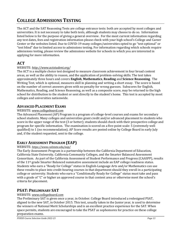# <span id="page-12-0"></span>**COLLEGE ADMISSIONS TESTING**

The ACT and the SAT Reasoning Tests are college entrance tests: both are accepted by most colleges and universities. It is not necessary to take both tests, although students may choose to do so. Information listed below is for the purpose of giving a general overview. For the most current information regarding any test dates, fees and registration information please check with your high school's College and Career Center or the websites listed. Due to COVID-19 many colleges/universities opted to go "test optional" or "test blind" due to limited access to admissions testing. For information regarding which schools require admissions testing, please review the admissions website for schools in which you are interested in applying for more information.

## <span id="page-12-1"></span>**ACT**

#### WEBSITE: *<http://www.actstudent.org/>*

The ACT is a multiple choice test designed to measure classroom achievement in four broad content areas, as well as the ability to reason, and the application of problem-solving skills. The test takes approximately three hours and covers **English**, **Mathematics**, **Reading** and **Science Reasoning**. The Writing Test, which is optional, measures skill in planning and writing a short essay. The score is based on the number of correct answers given with no penalty for wrong guesses. Subscores for English, Mathematics, Reading, and Science Reasoning, as well as a composite score, may be returned to the high school for distribution to the student or sent directly to the student's home. This test is accepted by most colleges and universities nationwide.

#### <span id="page-12-2"></span>**ADVANCED PLACEMENT EXAMS**

#### WEBSITE: *[www.collegeboard.com](about:blank)*

The Advanced Placement (AP) Program is a program of college-level courses and exams for secondary school students. Many colleges and universities grant credit and/or advanced placement to students who score in the upper range of the test (3 or better); students should check with their prospective college and program for specific information. The examination is scored on a five-point scale: 5 (extremely well qualified) to 1 (no recommendation). AP Score results are posted online by College Board in early July and, if the student requested, sent to the college.

## **EARLY ASSESSMENT PROGRAM (EAP)**

#### WEBSITE: *<https://www.calstate.edu/eap/>*

The Early Assessment Program is a partnership between the California Department of Education, California State University, California Community Colleges, and the Smarter Balanced Assessment Consortium. As part of the California Assessment of Student Performance and Progress (CAASPP), results of the 11th grade Smarter Balanced summative assessment include an EAP college readiness status. Students who earn a "Ready for College" status in English-Language Arts and/or Mathematics can use these results to place into credit-bearing courses in that department should they enroll in a participating college or university. Students who earn a "Conditionally Ready for College" status must take and pass with a grade of "C" or higher an approved course in that content area or otherwise meet the school's criteria for placement.

## <span id="page-12-3"></span>**PSAT: PRELIMINARY SAT**

#### WEBSITE: *[www.collegeboard.com](about:blank)*

The Preliminary SAT is given once a year, in October. College Board introduced a redesigned PSAT, aligned to the new SAT, in October 2015. This test, usually taken in the Junior year, is used to determine the winners of National Merit Scholarships and is an excellent practice experience for the SAT. When space permits, students are encouraged to take the PSAT as sophomores for practice on these college preparation exams.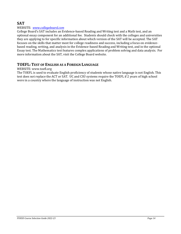### <span id="page-13-0"></span>**SAT**

#### WEBSITE: *[www.collegeboard.com](http://www.collegeboard.com/)*

College Board's SAT includes an Evidence-based Reading and Writing test and a Math test, and an optional essay component for an additional fee. Students should check with the colleges and universities they are applying to for specific information about which version of the SAT will be accepted. The SAT focuses on the skills that matter most for college readiness and success, including a focus on evidencebased reading, writing, and analysis in the Evidence-based Reading and Writing test, and in the optional Essay test. The Mathematics test features complex applications of problem solving and data analysis. For more information about the SAT, visit the College Board website.

#### <span id="page-13-1"></span>**TOEFL: TEST OF ENGLISH AS A FOREIGN LANGUAGE**

#### WEBSITE: www.toefl.org

The TOEFL is used to evaluate English proficiency of students whose native language is not English. This test does not replace the ACT or SAT. UC and CSU systems require the TOEFL if 2 years of high school were in a country where the language of instruction was not English.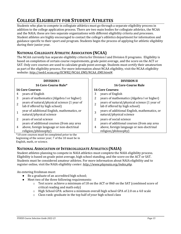# <span id="page-14-0"></span>**COLLEGE ELIGIBILITY FOR STUDENT ATHLETES**

Students who plan to compete in collegiate athletics must go through a separate eligibility process in addition to the college application process. There are two main bodies for collegiate athletics, the NCAA and the NAIA; these are two separate organizations with different eligibility criteria and processes. Student athletes are highly encouraged to contact the college's athletics department for information and guidance specific to their sport and program. Students begin the process of applying for athletic eligibility during their junior year.

#### <span id="page-14-1"></span>**NATIONAL COLLEGIATE ATHLETIC ASSOCIATION (NCAA)**

The NCAA currently has separate eligibility criteria for Division I and Division II programs. Eligibility is based on completion of certain course requirements, grade point average, and the score on the ACT or SAT. Only core courses are used to calculate grade point average. Students must certify their amateurism as part of the eligibility process. For more information about NCAA eligibility, visit the NCAA eligibility website: *[http://web1.ncaa.org/ECWR2/NCAA\\_EMS/NCAA\\_EMS.html#](http://web1.ncaa.org/ECWR2/NCAA_EMS/NCAA_EMS.html)*.

#### **16 Core-Course Rule\* 16 Core-Course Rule**

#### **16 Core Courses: 16 Core Courses:**

- 
- 
- 2 years of natural/physical science (1 year of years of natural/physical science (1 year of  $\begin{vmatrix} 2 \end{vmatrix}$
- 1 year of additional English, mathematics, or year of additional English, mathematics, or  $\begin{vmatrix} 3 \end{vmatrix}$
- 2 years of social science 2 years of social science years of additional courses (from any area
- 4 above, foreign language or non-doctrinal religion/philosophy)

\*10 core courses must be completed prior to the beginning of the senior year; 7 of the 10 must be in English, math, or science.

#### **DIVISION I DIVISION II**

- 4 years of English 3 years of English
- 3 years of mathematics (Algebra I or higher) 2 years of mathematics (Algebra I or higher)
	- years of natural/physical science (1 year of lab if offered by high school)
	- years of additional English, mathematics, or
	- natural/physical science
	- years of additional courses (from any area
	- 4 above, foreign language or non-doctrinal religion/philosophy)

## <span id="page-14-2"></span>**NATIONAL ASSOCIATION OF INTERCOLLEGIATE ATHLETICS (NAIA)**

Student athletes planning to compete in NAIA athletics must complete the NAIA eligibility process. Eligibility is based on grade point average, high school standing, and the score on the ACT or SAT. Students must be considered amateur athletes. For more information about NAIA eligibility and to register online, visit the NAIA eligibility center: *<http://www.playnaia.org/index.php>*.

An entering freshman must:

- Be a graduate of an accredited high school;
- Meet two of the three following requirements:
	- o Test score: achieve a minimum of 18 on the ACT or 860 on the SAT (combined score of critical reading and math only)
	- $\circ$  High School GPA: achieve a minimum overall high school GPA of 2.0 on a 4.0 scale
	- o Class rank: graduate in the top half of your high school class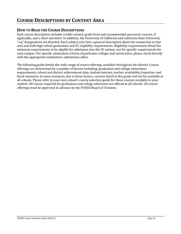# <span id="page-15-0"></span>**COURSE DESCRIPTIONS BY CONTENT AREA**

#### <span id="page-15-1"></span>**HOW TO READ THE COURSE DESCRIPTIONS**

Each course description includes credits earned, grade level and recommended precursor courses, if applicable, and a short narrative. In addition, the University of California and California State University "a-g" designations are denoted. Each subject area lists a general description about the connection to that area and both high school graduation and UC eligibility requirements. Eligibility requirements detail the minimum requirements to be eligible for admission into the UC system, not for specific requirements for each campus. For specific admissions criteria of particular colleges and universities, please check directly with the appropriate institution's admissions office.

The following guide details the wide range of course offerings available throughout the district. Course offerings are determined by a number of factors including: graduation and college admissions requirements; school and district achievement data; student interest; teacher availability/expertise; and fiscal resources. In some instances, due to these factors, courses listed in this guide will not be available at all schools. Please refer to your own school's course selection guide for those courses available to your student. All classes required for graduation and college admission are offered at all schools. All course offerings must be approved in advance by the FUHSD Board of Trustees.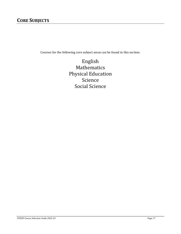# <span id="page-16-0"></span>**CORE SUBJECTS**

Courses for the following core subject areas can be found in this section:

English Mathematics Physical Education Science Social Science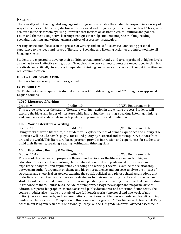#### <span id="page-17-0"></span>**ENGLISH**

The overall goal of the English-Language Arts program is to enable the student to respond in a variety of ways to the ideas in literature, starting at the personal and progressing to the universal level. This goal is achieved in the classroom by: using literature that focuses on aesthetic, ethical, cultural and political issues and themes; using active learning strategies that help students integrate thinking, reading, speaking, listening and writing; using a variety of assessment strategies.

Writing instruction focuses on the process of writing and on self-discovery: connecting personal experience to the ideas and issues of literature. Speaking and listening activities are integrated into all language classes.

Students are expected to develop their abilities to read more broadly and to comprehend at higher levels, as well as to work effectively in groups. Throughout the curriculum, students are encouraged to thin both creatively and critically; to express independent thinking; and to work on clarity of thought in written and oral communication.

#### **HIGH SCHOOL GRADUATION**

There is a four-year requirement for graduation.

#### **UC ELIGIBILITY**

"b" English –4 years required. A student must earn 40 credits and grades of "C" or higher in approved English courses.

| 1010: Literature & Writing |             |                       |
|----------------------------|-------------|-----------------------|
| Grades: 9                  | Credits: 10 | UC/CSU Requirement: b |

This course integrates the study of literature with instruction in the writing process. Students will explore the ideas and issues of literature while improving their writing, speaking, listening, thinking and language skills. Materials include poetry and prose, fiction and non-fiction.

#### **1020: World Literature & Writing**

Grades: 10 Credits: 10 Credits: 10 UC/CSU Requirement: b Using works of world literature, the student will explore themes of human experience and inquiry. The literature will include novels, plays, stories and poetry by historical and contemporary authors from around the world. This literature-based program provides instruction and experiences for students to build their listening, speaking, reading, writing and thinking skills.

#### **1030: Expository Reading & Writing**

Grades: 11-12 **Credits: 10** Credits: 10 **UC/CSU Requirement: b** The goal of this course is to prepare college-bound seniors for the literacy demands of higher education. Students in this yearlong, rhetoric-based course develop advanced proficiencies in expository, analytical, and argumentative reading and writing. They will examine the relationship between an author's argument or theme and his or her audience and purpose, analyze the impact of structural and rhetorical strategies, examine the social, political, and philosophical assumptions that underlie a text, and then apply these same strategies to their own writing. By the end of the course, students will be expected to use this process independently when reading unfamiliar texts and writing in response to them. Course texts include contemporary essays, newspaper and magazine articles, editorials, reports, biographies, memos, assorted public documents, and other non-fiction texts. The course modules also include the study of two full-length works (one novel and one work of nonfiction), research methods, and documentation conventions. Written assessments and holistic scoring guides conclude each unit. Completion of this course with a grade of "C" or higher will clear a CSU Early Assessment Program result of "Conditionally Ready" on the 11<sup>th</sup> grade Smarter Balanced assessment.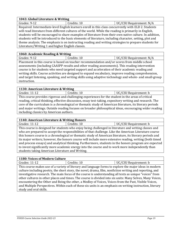#### **1043: Global Literature & Writing**

Grades: 9-12 **Credits: 10** Credits: 10 **UC/CSU Requirement: N/A** 

Required: Intermediate-level English learners enroll in this class concurrently with ELD 2. Students will read literature from different cultures of the world. While the reading is primarily in English, students will be encouraged to share examples of literature from their own native culture. In addition, students will be introduced to the basic elements of literature, including character, setting, plot and theme analysis. The emphasis is on instructing reading and writing strategies to prepare students for Literature/Writing 1 and higher English classes.

#### **1060: Academic Reading & Writing**

Grades: 9-12 | Credits: 10 | UC/CSU Requirement: N/A

Placement in this course is based on teacher recommendation and/or scores from middle school assessments (including CAASPP results and other reading assessments). This reading intervention course is for students who need targeted support and acceleration of their academic reading and writing skills. Course activities are designed to expand vocabulary, improve reading comprehension, and target listening, speaking, and writing skills using adaptive technology and whole- and small-group instruction.

#### **1130: American Literature & Writing**

Grades: 11-12 **Credits: 10** Credits: 10 **UC/CSU Requirement: b** This course provides rigorous and challenging experiences for the student in the areas of critical reading, critical thinking, effective discussion, essay test-taking, expository writing and research. The core of the curriculum is a chronological or thematic study of American literature, its literary periods and major writings. Outside reading focuses on broader philosophical ideas, encouraging wider reading including classics by American authors.

#### **1140: American Literature & Writing Honors**

Grades: 11-12 **Credits: 10** Credits: 10 **UC/CSU Requirement: b** This course is designed for students who enjoy being challenged in literature and writing classes and who are prepared to accept the responsibilities of that challenge. Like the American Literature course this honors course is a chronological or thematic study of American literature, its literary periods and its major writers; however, the honors course will include more extensive reading, writing (both timed and process essays) and analytical thinking. Furthermore, students in the honors program are expected to invest significantly more academic energy into the course and to work more independently than students taking American Literature and Writing.

#### **1180: Voices of Modern Culture**

Grades: 11-12 **Credits: 10** Credits: 10 **UC/CSU Requirement: b** This course makes use of a variety of literary and language forms to explore the major ideas in modern culture including poetry, the short story, the novel, drama, film, nonfiction writing and reporting, and investigative research. The main focus of the course is understanding all texts as unique "voices" from other cultures in other places and times. The course is divided into six units: Many Selves, Many Voices, encountering the Other and Being the other, a Medley of Voices, Voices from the Past, Visible Voices, and Multiple Perspectives. Within each of these six units is an emphasis on writing instruction, literary study and oral skills.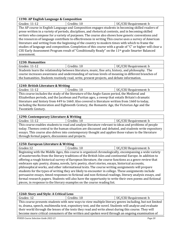#### **1190: AP English Language & Composition**

| Grades: 11-12 | Credits: 10                                                                                                 | UC/CSU Requirement: b |
|---------------|-------------------------------------------------------------------------------------------------------------|-----------------------|
|               | The AP course in English Language and Composition engages students in becoming skilled readers of           |                       |
|               | prose written in a variety of periods, disciplines, and rhetorical contexts, and in becoming skilled        |                       |
|               | writers who compose for a variety of purposes. The course also shows how generic conventions and            |                       |
|               | the resources of language contribute to effectiveness in writing This course uses a survey of American      |                       |
|               | literature and writing from the beginning of the country to modern times with which to frame the            |                       |
|               | studies of language and composition. Completion of this course with a grade of "C" or higher will clear a   |                       |
|               | CSU Early Assessment Program result of "Conditionally Ready" on the 11 <sup>th</sup> grade Smarter Balanced |                       |
| assessment.   |                                                                                                             |                       |

#### **1230: Humanities**

| Grades: 11-12 | Credits: 10                                                                                                                          | UC/CSU Requirement: b |
|---------------|--------------------------------------------------------------------------------------------------------------------------------------|-----------------------|
|               | $\alpha$ . It are interesting a later than the contribution of the $\alpha$ contribution of a later than $\alpha$ . The contribution |                       |

Students learn the relationship between literature, music, fine arts, history, and philosophy. The course increases awareness and understanding of various levels of meaning in different branches of the humanities. Students routinely read, write, present projects, and debate information.

# **1240: British Literature & Writing**

Grades: 11-12 Credits: 10 Credits: 10 UC/CSU Requirement: b This course includes the study of the literature of the Anglo-Saxon period, the Medieval and Elizabethan periods, and the Jacobean and Puritan ages, a sweep that entails Britain's dramatic literature and history from 449 to 1660. Also covered is literature written from 1660 to today, including the Restoration and Eighteenth Century, the Romantic Age, the Victorian Age and the Twentieth Century.

#### **1290: Contemporary Literature & Writing**

Grades: 11-12 **Credits: 10** Credits: 10 **UC/CSU Requirement: b** This course enables students to read and analyze literature relevant to ideas and problems of people today. Themes central to the human situation are discussed and debated, and students write expository essays. This course also delves into contemporary thought and applies those values to the literature through formal papers, discussions and projects.

#### **1250: European Literature & Writing** Grades:12 **Credits: 10** Credits: 10 **UC/CSU Requirement:** b Beginning with the Middle Ages, this course is organized chronologically, encompassing a wide variety of masterworks from the literary traditions of the British Isles and continental Europe. In addition to offering a rough historical survey of European literature, the course functions as a genre review that embraces epic poetry, drama, novels, lyric poetry, short stories, essays, historical accounts, philosophical works, and other informational texts. The course writing assignments will prepare students for the types of writing they are likely to encounter in college. These assignments include persuasive essays, timed responses to fictional and non-fictional readings, literary analysis essays, and formal research papers. Students will also have the opportunity to write their own poems and fictional pieces, in response to the literary examples on the course reading list.

| 1260: Story and Style: A Critical Lens                                                                 |                                                                                                         |                       |
|--------------------------------------------------------------------------------------------------------|---------------------------------------------------------------------------------------------------------|-----------------------|
| Grades: 12                                                                                             | Credits: 10                                                                                             | UC/CSU Requirement: b |
|                                                                                                        | This course presents students with new ways to view multiple literary genres including, but not limited |                       |
| to, drama, speech, multimedia text, expository text, and the novel. Students will analyze and evaluate |                                                                                                         |                       |
|                                                                                                        | their world through the lenses of the texts they read and write about during this course. They will     |                       |
| become more critical consumers of the written and spoken word through an ongoing examination of        |                                                                                                         |                       |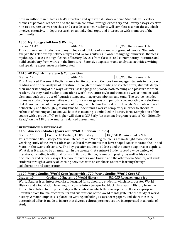how an author manipulates a text's structure and syntax to illustrate a point. Students will explore themes of personal reflection and the human condition through expository and literary essays, creative non-fiction, persuasive speeches, and class discussions. Students will complete a senior thesis, which involves extensive, in-depth research on an individual topic and interaction with members of the community.

#### **1300: Mythology/Folklore & Writing**

Grades: 11-12 Credits: 10 Credits: 10 UC/CSU Requirement: b This course is an introduction to mythology and folklore of a country or group of people. Students analyze the relationship between myths and various cultures in order to highlight universal themes in mythology, discuss the significance of literary devices from classical and contemporary literature, and build vocabulary from words in the literature. Extensive expository and analytical activities, writing and speaking experiences are integrated.

#### **1410: AP English Literature & Composition**

Grades: 12 Credits: 10 Credits: 10 UC/CSU Requirement: b This Advanced Placement English course in Literature and Composition engages students in the careful reading and critical analysis of literature. Through the close reading of selected texts, students deepen their understanding of the ways writers use language to provide both meaning and pleasure for their readers. As they read, students consider a work's structure, style and themes, as well as smaller-scale elements, such as the use of figurative language, imagery, symbolism and tone. The course includes intensive study of representative works from various genres and periods, concentrating on selections that do not yield all of their pleasures of thought and feeling the first time through. Students will read deliberately and thoroughly, taking time to understand a work's complexity in order to absorb its richness of meaning and to analyze how that meaning is embodied in literary form. Completion of this course with a grade of "C" or higher will clear a CSU Early Assessment Program result of "Conditionally Ready" on the 11th grade Smarter Balanced assessment.

#### <span id="page-20-0"></span>**THE INTERDISCIPLINARY PROGRAM**

#### **1160: American Studies (pairs with 1760: American Studies)**

Grades: 11 | Credits: 10 English, 10 US History | UC/CSU Requirement: a & b

This combined US History/American Literature and Writing course is a team-taught, two-period, yearlong study of the events, ideas and cultural movements that have shaped Americans and the United States in the twentieth century. The key question students address and the course explores in depth is, What does it mean to be an American in the twenty-first century? Students read a wide variety of literature, including traditional forms (fiction, nonfiction, drama and poetry) as well as historical documents and critical essays. The two instructors, one English and the other Social Studies, will guide students through a variety of learning activities with an emphasis on team learning through collaboration and cooperation.

#### **1170: World Studies/World Core (pairs with 1770: World Studies/World Core SS)**

Grades: 10 Credits: 10 English, 10 World History | UC/CSU Requirement: a & b

World Studies is an integrated class, designed for sophomore students, which incorporates World History and a foundation level English course into a two-period block class. World History from the French Revolution to the present day is the context in which the class operates. It uses appropriate literature from the major continents and civilizations of the world to integrate into the study of world history. A major emphasis is placed on writing, including essays, term papers, and short theses. A determined effort is made to insure that diverse cultural perspectives are incorporated in all units of study.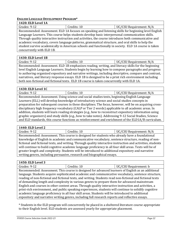#### <span id="page-21-0"></span>**ENGLISH LANGUAGE DEVELOPMENT PROGRAM\***

| <b>1420: ELD Level 1A</b> |                                                                                                      |                         |
|---------------------------|------------------------------------------------------------------------------------------------------|-------------------------|
| Grades: 9-12              | Credits: 10                                                                                          | UC/CSU Requirement: N/A |
|                           | Recommended: Assessment. ELD 1A focuses on speaking and listening skills for beginning level English |                         |
|                           | Language Learners. This course helps students develop basic interpersonal communication skills.      |                         |
|                           | Through quality interactive instruction and activities, the course introduces both communicative and |                         |
|                           | academic vocabulary, covers language patterns, grammatical structure, and oral skills to help the    |                         |
|                           | student survive academically in American schools and functionally in society. ELD 1A course is taken |                         |
| concurrently with ELD 1B. |                                                                                                      |                         |

#### **1430: ELD Level 1B**

| Grades: 9-12                                                                                           | Credits: 10                                                                                        | UC/CSU Requirement: N/A |
|--------------------------------------------------------------------------------------------------------|----------------------------------------------------------------------------------------------------|-------------------------|
|                                                                                                        | Recommended: Assessment. ELD 1B emphasizes reading, writing, and literacy skills for the beginning |                         |
| level English Language Learners. Students begin by learning how to compose paragraphs and progress     |                                                                                                    |                         |
| to authoring organized expository and narrative writings, including descriptive, compare and contrast, |                                                                                                    |                         |
|                                                                                                        |                                                                                                    |                         |

narratives, and literary response essays. ELD 1B is designed to be a print rich environment including both non-fictional and fictional texts. ELD 1B course is taken concurrently with ELD 1A.

#### **1430: ELD Level 1C**

| Grades: '<br>ч- |                                                                                            | C/CSU Requirement: N/A |
|-----------------|--------------------------------------------------------------------------------------------|------------------------|
|                 | Decempended: Assessment Heing seignes and social studies texts, beginning English Language |                        |

Recommended: Assessment. Using science and social studies texts, beginning English Language Learners (ELL) will develop knowledge of introductory science and social studies concepts in preparation for subsequent courses in these disciplines. The focus, however, will be on acquiring crossdisciplinary high frequency vocabulary (CALP or Tier 2 words) applicable to all academic areas. In addition, students will learn reading strategies (e.g., how to reconstruct expository information using graphic organizers) and study skills (e.g., how to take notes). Addressing 9-12 Social Studies, Science and ELD standards, this course functions as reinforcement and enrichment of the ELD1A/B curriculum.

#### **1440: ELD Level 2**

| Grades:<br>ч. | 10<br>_ _ _ _ | /CSU Requirement: N/A<br>(JC/C |
|---------------|---------------|--------------------------------|

Recommended: Assessment. This course is designed for students who already have a foundational knowledge of English in academic and communicative vocabulary, sentence structure, reading of nonfictional and fictional texts, and writing. Through quality interactive instruction and activities, students will continue to build cognitive academic language proficiency in all four skill areas. Texts will be of greater length and complexity. Students will be introduced to additional expository and narrative writing genres, including persuasive, research and biographical essays.

#### **1450: ELD Level 3**

| Grades: 9-12 | Credits: 10 | UC/CSU Requirement: b |
|--------------|-------------|-----------------------|

Recommended: Assessment. This course is designed for advanced learners of English as an additional language. Students acquire sophisticated academic and communicative vocabulary, sentence structure, reading of non-fictional and fictional texts, and writing. Students read non-fictional and fictional texts of demanding length and complexity in various genres to prepare them for advanced mainstream English and courses in other content areas. Through quality interactive instruction and activities, a print-rich environment, and public speaking experiences, students will continue to solidify cognitive academic language proficiency in all four skill areas. Students will be introduced to additional expository and narrative writing genres, including full research reports and reflective essays.

\* Students in the ELD program will concurrently be placed in a sheltered literature course appropriate to their English level. ELD students are assessed yearly for appropriate placement.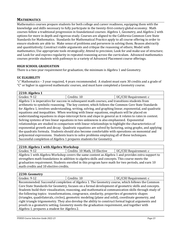#### <span id="page-22-0"></span>**MATHEMATICS**

Mathematics courses prepare students for both college and career readiness, equipping them with the knowledge and skills necessary to fully participate in the twenty-first-century global economy. Math courses follow a traditional progression in foundational courses: Algebra 1, Geometry, and Algebra 2 with options for more in depth and rigorous study. Courses are aligned to the California Common Core State Standards for Mathematics. Standards for Mathematical Practice apply to all course offering in order to ensure students are able to: Make sense of problems and persevere in solving them; Reason abstractly and quantitatively; Construct viable arguments and critique the reasoning of others; Model with mathematics; Use appropriate tools strategically; Attend to precision; Look for and make use of structure; and Look for and express regularity in repeated reasoning across the curriculum. Advanced mathematics courses provide students with pathways to a variety of Advanced Placement course offerings.

#### **HIGH SCHOOL GRADUATION**

There is a two-year requirement for graduation; the minimum is Algebra 1 and Geometry.

#### **UC ELIGIBILITY**

"c" Mathematics – 3 year required, 4 years recommended. A student must earn 30 credits and a grade of "C" or higher in approved mathematic courses, and must have completed a Geometry course.

| 2210: Algebra 1                                                                                       |                                                                                                          |                       |
|-------------------------------------------------------------------------------------------------------|----------------------------------------------------------------------------------------------------------|-----------------------|
| Grades: 9-12                                                                                          | Credits: 10                                                                                              | UC/CSU Requirement: c |
|                                                                                                       | Algebra 1 is imperative for success in subsequent math courses, and transitions students from            |                       |
|                                                                                                       | arithmetic to symbolic reasoning. The key content, which follows the Common Core State Standards         |                       |
|                                                                                                       | for Algebra 1, involves understanding, writing, solving, and graphing linear, exponential, and quadratic |                       |
|                                                                                                       | equations and inequalities. When working with linear equations, emphasis will be placed on               |                       |
|                                                                                                       | understanding equations in slope-intercept form and slope in general as it relates to rates in context.  |                       |
| Solving systems of two linear equations in two unknowns is also emphasized. Exponential               |                                                                                                          |                       |
| relationships are studied in comparison with linear relationships to highlight the characteristics of |                                                                                                          |                       |
|                                                                                                       | exponential growth and decay. Quadratic equations are solved by factoring, using graphs, and applying    |                       |
|                                                                                                       | the quadratic formula. Students should also become comfortable with operations on monomial and           |                       |
|                                                                                                       | polynomial expressions. Students learn to solve problems employing all of these techniques.              |                       |
| Successful completion of Algebra 1 prepares students for Geometry.                                    |                                                                                                          |                       |

#### **2210: Algebra 1 with Algebra Workshop**

Grades: 9-12 **Credits: 10 Math, 10 Elective** UC/CSU Requirement: c Algebra 1 with Algebra Workshop covers the same content as Algebra 1 and provides extra support to strengthen math foundations in addition to algebra skills and concepts. This course meets the graduation requirement. Students enrolled in this program have math for two periods, and earn 10 math credits and 10 elective credits.

#### **2230: Geometry**

Grades: 9-12 Credits: 10 UC/CSU Requirement: c Recommended: Successful completion of Algebra 1. The Geometry course, which follows the Common Core State Standards for Geometry, focuses on a formal development of geometric skills and concepts. Students build their visualization, reasoning, and mathematical communication skills through study of the following topics: transformations, congruence, similarity, properties of geometric shapes (triangles, quadrilaterals, circles), geometric modeling (plane and solid), coordinate geometry, and right triangle trigonometry. They also develop the ability to construct formal logical arguments and proofs in a geometric setting. Geometry meets the graduation requirement, and together with Algebra 1, prepares a student for Algebra 2.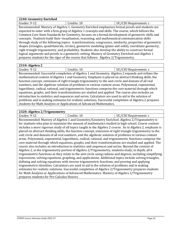| 2240: Geometry Enriched |                                                                                                         |                       |
|-------------------------|---------------------------------------------------------------------------------------------------------|-----------------------|
| Grades: 9-12            | Credits: 10                                                                                             | UC/CSU Requirement: c |
|                         | Recommended: Mastery of Algebra 1. Geometry Enriched emphasizes formal proofs and students are          |                       |
|                         | expected to enter with a firm grasp of Algebra 1 concepts and skills. The course, which follows the     |                       |
|                         | Common Core State Standards for Geometry, focuses on a formal development of geometric skills and       |                       |
|                         | concepts. Students build their visualization, reasoning, and mathematical communication skills          |                       |
|                         | through study of the following topics: transformations, congruence, similarity, properties of geometric |                       |
|                         | shapes (triangles, quadrilaterals, circles), geometric modeling (plane and solid), coordinate geometry, |                       |
|                         | right triangle trigonometry, and probability. Students also develop the ability to construct formal     |                       |
|                         | logical arguments and proofs in a geometric setting. Mastery of Geometry Enriched and Algebra 1         |                       |
|                         | prepares students for the rigor of the course that follows: Algebra 2/Trigonometry.                     |                       |

#### **2310: Algebra 2**

| Grades: 9-12                                                                                         | Credits: 10                                                                                           | UC/CSU Requirement: c |
|------------------------------------------------------------------------------------------------------|-------------------------------------------------------------------------------------------------------|-----------------------|
|                                                                                                      | Recommended: Successful completion of Algebra 1 and Geometry. Algebra 2 expands and refines the       |                       |
|                                                                                                      | mathematical content of Algebra 1 and Geometry. Emphasis is placed on abstract thinking skills, the   |                       |
|                                                                                                      | function concept, extension of right triangle trigonometry to the unit circle and domain of all real  |                       |
|                                                                                                      | numbers, and the algebraic solution of problems in various content areas. Polynomial, exponential,    |                       |
| logarithmic, radical, rational, and trigonometric functions comprise the core material through which |                                                                                                       |                       |
|                                                                                                      | equations, graphs, and their transformations are studied and applied. The course also includes an     |                       |
|                                                                                                      | introduction to statistics and sequences and series. Calculators are used to aid in the solution of   |                       |
|                                                                                                      | problems and in making estimates for realistic solutions. Successful completion of Algebra 2 prepares |                       |
|                                                                                                      | students for Math Analysis or Applications of Advanced Mathematics.                                   |                       |

#### **2320: Algebra 2/Trigonometry**

Grades: 9-12 Credits: 10 UC/CSU Requirement: c Recommended: Mastery of Algebra 1 and Geometry/Geometry Enriched. Algebra 2/Trigonometry is for students who plan to maximize the amount of mathematics studied in high school. Course content includes a more rigorous study of all topics taught in the Algebra 2 course. As in Algebra 2, emphasis is placed on abstract thinking skills, the function concept, extension of right triangle trigonometry to the unit circle and domain of all real numbers, and the algebraic solution of problems in various content areas. Polynomial, exponential, logarithmic, radical, rational, and trigonometric functions comprise the core material through which equations, graphs, and their transformations are studied and applied. The course also includes an introduction to statistics and sequences and series. Beyond the content of Algebra 2, in the trigonometry portion of Algebra 2/Trigonometry, students study, in depth, all 6 trigonometric functions as they relate to the unit circle using radians and degrees, including simplifying expressions, solving equations, graphing, and applications. Additional topics include solving triangles, defining and solving equations with inverse trigonometric functions, and proving and applying trigonometric identities. Calculators are used to aid in the solution of problems and in making estimates for realistic solutions. Successful completion of Algebra 2/Trigonometry prepares students for Math Analysis or Applications of Advanced Mathematics. Mastery of Algebra 2/Trigonometry prepares students for Pre-Calculus Honors.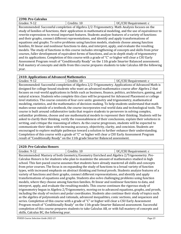#### **2390: Pre-Calculus** Grades: 9-12 Credits: 10 UC/CSU Requirement: c Recommended: Successful completion of Algebra 2/2-Trigonometry. Math Analysis focuses on the study of families of functions, their application in mathematical modeling, and the use of equivalence to rewrite expressions to reveal important features. Students analyze features of a variety of functions and their graphs, connect different representations, and identify and apply transformations of equations and graphs. To solve problems using function models, students choose among function families, fit linear and nonlinear functions to data, and interpret, apply, and evaluate the resulting models. The study of functions in this course includes strengthening of concepts and skills from prior

courses, fuller development of equivalent forms of functions, and an in-depth study of trigonometry and its applications. Completion of this course with a grade of "C" or higher will clear a CSU Early Assessment Program result of "Conditionally Ready" on the 11th grade Smarter Balanced assessment. Full mastery of concepts and skills from this course prepares students to take Calculus AB the following year.

#### **2410: Applications of Advanced Mathematics**

Grades: 9-12 Credits: 10 UC/CSU Requirement: c Recommended: Successful completion of Algebra 2/2-Trigonometry. Applications of Advanced Math is designed for college-bound students who want an advanced mathematics course after Algebra 2 that focuses on real-world applications in fields such as business, finance, politics, architecture, gaming, and natural science. Students who complete this class will be prepared for Advanced Placement or college level statistics. The course consists of four core units: geometry and trigonometry, mathematical modeling, statistics, and the mathematics of decision-making. To help students understand that math makes sense outside of a textbook, the course incorporates real world data and technological tools. The course is built around collaborative tasks that require students to persevere in solving complex, unfamiliar problems, choose and use mathematical models to represent their thinking. Students will be asked to clarify their thinking, verify the reasonableness of their conclusions, explain their solutions in writing, and critique the reasoning of others. As the course progresses, students will be expected to communicate their ideas with increasing accuracy, objectivity, clarity, and concision. Students are encouraged to explore multiple pathways toward a solution to further enhance their understanding. Completion of this course with a grade of "C" or higher will clear a CSU Early Assessment Program result of "Conditionally Ready" on the 11th grade Smarter Balanced assessment.

#### **2420: Pre-Calculus Honors**

Grades: 9-12 **Credits: 10** Credits: 10 **CALCE** UC/CSU Requirement: c Recommended: Mastery of both Geometry/Geometry Enriched and Algebra 2/Trigonometry. Pre-Calculus Honors is for students who plan to maximize the amount of mathematics studied in high school. This fast-paced course assumes that students have already mastered all skills and concepts from prior courses. The focus is on expanding the study of functions to a broad variety of function types, with increased emphasis on abstract thinking and formal proofs. Students analyze features of a variety of functions and their graphs, connect different representations, and identify and apply transformations of equations and graphs. Students also solve challenging problems using function models, where they choose among function families, fit linear and nonlinear functions to data, and interpret, apply, and evaluate the resulting models. This course continues the rigorous study of trigonometry begun in Algebra 2/Trigonometry, moving on to advanced equations, graphs, and proofs, including the study of vectors and polar coordinates. Students also continue their study of topics such as the algebra of polynomials and rationals, advanced inequalities, conic sections, and sequences and series. Completion of this course with a grade of "C" or higher will clear a CSU Early Assessment Program result of "Conditionally Ready" on the 11th grade Smarter Balanced assessment. Successful completion of this course prepares students to take Calculus AB, or with full mastery of concepts and skills, Calculus BC, the following year.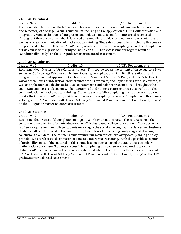| 2430: AP Calculus AB |                                                                                                            |                       |
|----------------------|------------------------------------------------------------------------------------------------------------|-----------------------|
| Grades: 9-12         | Credits: 10                                                                                                | UC/CSU Requirement: c |
|                      | Recommended: Mastery of Math Analysis. This course covers the content of two quarters (more than           |                       |
|                      | one semester) of a college Calculus curriculum, focusing on the application of limits, differentiation and |                       |
|                      | integration. Some techniques of integration and indeterminate forms for limits are also covered.           |                       |
|                      | Throughout the course, an emphasis is placed on symbolic, graphical, and numeric representations, as       |                       |
|                      | well as on clear communication of mathematical thinking. Students successfully completing this course      |                       |
|                      | are prepared to take the Calculus AB AP Exam, which requires use of a graphing calculator. Completion      |                       |
|                      | of this course with a grade of "C" or higher will clear a CSU Early Assessment Program result of           |                       |
|                      | "Conditionally Ready" on the 11 <sup>th</sup> grade Smarter Balanced assessment.                           |                       |

#### **2440: AP Calculus BC**

| aher''<br>ч-<br>┸᠘           | 1V.          | Requirement: c |
|------------------------------|--------------|----------------|
| $\sim$<br>$\sim$<br>.<br>- - | $-1$<br>$ -$ |                |

Recommended: Mastery of Pre-Calculus Honors. This course covers the content of three quarters (two semesters) of a college Calculus curriculum, focusing on applications of limits, differentiation and integration. Numerical approaches (such as Newton's method, Simpson's Rule, and Euler's Method); various techniques of integration; indeterminate forms for limits; and Taylor series are also covered, as well as application of Calculus techniques to parametric and polar representations. Throughout the course, an emphasis is placed on symbolic, graphical and numeric representations, as well as on clear communication of mathematical thinking. Students successfully completing this course are prepared to take the Calculus BC AP Exam, which requires use of a graphing calculator. Completion of this course with a grade of "C" or higher will clear a CSU Early Assessment Program result of "Conditionally Ready" on the 11th grade Smarter Balanced assessment.

#### **2460: AP Statistics**

Grades: 9-12 Credits: 10 UC/CSU Requirement: c Recommended: Successful completion of Algebra 2 or higher math course. This course covers the content of one semester of an introductory, non-Calculus-based, college curriculum in Statistics, which is often a requirement for college students majoring in the social sciences, health sciences and business. Students will be introduced to the major concepts and tools for collecting, analyzing, and drawing conclusions from data. The course is built around four main topics: exploring data, planning a study, probability as it relates to distribution of data, and inferential reasoning. With the possible exception of probability, most of the material in this course has not been a part of the traditional secondary mathematics curriculum. Students successfully completing this course are prepared to take the Statistics AP Exam which includes use of a graphing calculator. Completion of this course with a grade of "C" or higher will clear a CSU Early Assessment Program result of "Conditionally Ready" on the  $11<sup>th</sup>$ grade Smarter Balanced assessment.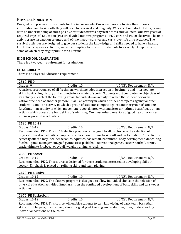#### <span id="page-26-0"></span>**PHYSICAL EDUCATION**

Our goal is to prepare our students for life in our society. Our objectives are to give the students information and basic skills they will need for survival and longevity. We expect our students to go away with an understanding of and a positive attitude towards physical fitness and wellness. Our two years of required Physical Education (PE) are divided into two programs—PE 9 core and PE 10 electives. The unit activities are instruction oriented and of two types—survival and carry-over life time activities. The survival activities are designed to give our students the knowledge and skills needed to have a healthy life. In the carry-over activities, we are attempting to expose our students to a variety of experiences, some of which they might pursue for a lifetime.

#### **HIGH SCHOOL GRADUATION**

There is a two-year requirement for graduation.

#### **UC ELIGIBILITY**

There is no Physical Education requirement.

| 2510: PE 9                                                                                        |                                                                                                             |                         |
|---------------------------------------------------------------------------------------------------|-------------------------------------------------------------------------------------------------------------|-------------------------|
| Grades: 9                                                                                         | Credits: 10                                                                                                 | UC/CSU Requirement: N/A |
|                                                                                                   | A basic course required of all freshmen, which includes instruction in beginning and intermediate           |                         |
|                                                                                                   | skills, basic rules, history and etiquette in a variety of sports. Students must complete the objectives of |                         |
|                                                                                                   | an activity in each of the following areas: Individual—an activity in which the student performs            |                         |
| without the need of another person; Dual—an activity in which a student competes against another  |                                                                                                             |                         |
| student; Team—an activity in which a group of students compete against another group of students; |                                                                                                             |                         |
| Rhythmic—an activity in which movement is coordinated with music or a rhythmic beat; Aquatic—an   |                                                                                                             |                         |
|                                                                                                   | activity which covers the basic skills of swimming; Wellness—fundamentals of good health practices          |                         |
| are incorporated in activities.                                                                   |                                                                                                             |                         |

#### **2530: PE 10-12**

| Grades: 10-12                                                                                               | Credits: 10                                                                                             | UC/CSU Requirement: N/A |
|-------------------------------------------------------------------------------------------------------------|---------------------------------------------------------------------------------------------------------|-------------------------|
| Recommended: PE 9. The PE 10 elective program is designed to allow choice in the selection of               |                                                                                                         |                         |
| physical education activities. Emphasis is placed on refining basic skill and participation. The activities |                                                                                                         |                         |
|                                                                                                             | typically offered may include: aerobics, aquatics, basketball, badminton, body development, dance, flag |                         |
| football, game management, golf, gymnastics, pickleball, recreational games, soccer, softball, tennis,      |                                                                                                         |                         |
| track, ultimate Frisbee, volleyball, weight training, wrestling.                                            |                                                                                                         |                         |

#### **2560: PE Soccer**

| Grades: 10-12                                                                                    | Credits: 10 | UC/CSU Requirement: N/A |
|--------------------------------------------------------------------------------------------------|-------------|-------------------------|
| Recommended: PE 9. This course is designed for those students interested in developing skills in |             |                         |
| soccer. Emphasis is placed on refining skills and team playing.                                  |             |                         |

| 2620: PE Elective                                                                                      |             |                         |
|--------------------------------------------------------------------------------------------------------|-------------|-------------------------|
| Grades: 10-12                                                                                          | Credits: 10 | UC/CSU Requirement: N/A |
| Recommended: PE 9. The elective program is designed to allow individual choice in the selection of     |             |                         |
| physical education activities. Emphasis is on the continued development of basic skills and carry-over |             |                         |
| activities.                                                                                            |             |                         |

| 2670: PE Basketball                                                                                   |             |                         |
|-------------------------------------------------------------------------------------------------------|-------------|-------------------------|
| Grades: 10-12                                                                                         | Credits: 10 | UC/CSU Requirement: N/A |
| Recommended: PE 9. This course will enable students to gain knowledge of basic team basketball        |             |                         |
| skills; dribble, pass, pivot screen, shoot for goal, goal keeping, understanding rules, understanding |             |                         |
| individual positions on the court.                                                                    |             |                         |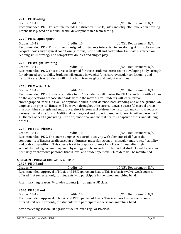**2710: PE Bowling**

Grades: 10-12 **Credits: 10** Credits: 10 **UC/CSU Requirement: N/A** 

Recommended: PE 9. This course includes instruction in skills, rules and etiquette involved in bowling. Emphasis is placed on individual skill development in a team setting.

#### **2720: PE Racquet Sports**

| Grades: 10-12                                                                                          | Credits: 10 | UC/CSU Requirement: N/A |
|--------------------------------------------------------------------------------------------------------|-------------|-------------------------|
| Recommended: PE 9. This course is designed for students interested in developing skills in the various |             |                         |
| racquet sports and physical conditioning: tennis, pickle ball and badminton. Emphasis is placed on     |             |                         |
| refining skills, strategy and competitive doubles and singles play.                                    |             |                         |

#### **2740: PE Weight Training**

Grades: 10-12 | Credits: 10 | UC/CSU Requirement: N/A

Recommended: PE 9. This course is designed for those students interested in developing body strength for advanced sports skills. Students will engage in weightlifting, cardiovascular conditioning and flexibility exercises. Students will utilize both free weights and weight machines.

#### **2770: PE Martial Arts**

Grades: 10-12 **Credits: 10** Credits: 10 **UC/CSU Requirement: N/A** Recommended: PE 9. In this alternative to PE 10, students will master the PE 10 standards with a focus on the applications of those standards within the martial arts. Students will learn formal, choreographed "forms" as well as applicable skills in self-defense, both standing and on the ground. An emphasis on physical fitness will be woven throughout the curriculum, as successful martial artists must combine strength and endurance. Short lessons will address the historical and cultural roots of various martial arts forms. Additional written, oral and project-based assignments will explore the PE 10 themes of health (including nutrition, emotional and mental health), adaptive fitness, and lifelong fitness.

#### **2780: PE Total Fitness**

| $(1 - 1)$<br>Grades: | $-1 - -1$<br>1V<br>cuits. | Requirement: N/A<br>പാ∪ |
|----------------------|---------------------------|-------------------------|
|                      |                           |                         |

Recommended: PE 9. The course emphasizes aerobic activity with elements of all five of the components of fitness: cardiovascular endurance, muscular strength, muscular endurance, flexibility and body composition. This course is set to prepare students for a life of fitness after high school. Knowledge of anatomy and physiology will be introduced. Individual students will be assessed primarily on their own personal fitness level and student personal PE folders will be maintained.

#### <span id="page-27-0"></span>**SPECIALIZED PHYSICAL EDUCATION COURSES**

| 2525: PE 9 Band |                                                                                                                                                                                       |                         |
|-----------------|---------------------------------------------------------------------------------------------------------------------------------------------------------------------------------------|-------------------------|
| Grades: 9       | Credits: 10                                                                                                                                                                           | UC/CSU Requirement: N/A |
|                 | Recommended: Approval of Music and PE Department heads. This is a basic twelve-week course,<br>offered first semester only, for students who participate in the school marching band. |                         |

After marching season, 9th grade students join a regular PE class.

#### **2545: PE 10 Band**

Grades: 10-12 | Credits: 10 | UC/CSU Requirement: N/A

Recommended: Approval of Music and PE Department heads. This is a basic twelve-week course, offered first semester only, for students who participate in the school marching band.

After marching season, 10<sup>th</sup> grade students join a regular PE class.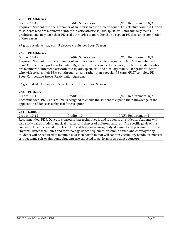#### **2590: PE Athletics**

Grades: 10-12 **Credits: 5 per season** UC/CSU Requirement: N/A

Required: Student must be a member of an interscholastic athletic squad. This elective course is limited to students who are members of interscholastic athletic squads, spirit, drill, and auxiliary teams. 10<sup>th</sup> grade students may earn their PE credit through a team rather than a regular PE class upon completion of the season.

9th grade students may earn 5 elective credits per Sport Season.

#### **2590: PE Athletics**

Grades: 10-12 **Credits: 5 per season** UC/CSU Requirement: N/A Required: Student must be a member of an interscholastic athletic squad and MUST complete the PE Sport Competitive Sports Participation Agreement. This is an elective course, limited to students who are members of interscholastic athletic squads, spirit, drill and auxiliary teams. 10th grade students who wish to earn their PE credit through a team rather than a regular PE class MUST complete PE Sport Competitive Sports Participation Agreement.

9th grade students may earn 5 elective credits per Sport Season.

#### **2640: PE Dance**

| Grades: 10-12                                      | Credits: 10                                                                                       | UC/CSU Requirement: N/A |
|----------------------------------------------------|---------------------------------------------------------------------------------------------------|-------------------------|
|                                                    | Recommended: PE 9. This course is designed to enable the student to expand their knowledge of the |                         |
| application of dance as a physical fitness option. |                                                                                                   |                         |

#### **2810: Dance 1**

| Grades: 10-12 | ʻroditci<br>Gregio.                                                                                                                                        | UC/CSU Requirement: f |
|---------------|------------------------------------------------------------------------------------------------------------------------------------------------------------|-----------------------|
|               | $\mathbf{n}$ . The second of $\mathbf{n}$ and $\mathbf{n}$ are the second of the second of $\mathbf{n}$ and $\mathbf{n}$ and $\mathbf{n}$ and $\mathbf{n}$ |                       |

Recommended: PE 9. Dance 1 is based in jazz techniques is and is open to all students. Students will also study ballet, modern, musical theater, and dances of different cultures. The specific goals of this course include: increased muscle control and body awareness, body alignment and placement, musical rhythms, dance techniques and terminology, dance sequences, ensemble dance, and choreography. Students will be required to maintain a written portfolio that will contain vocabulary handouts, musical critiques, and self-evaluations. Students are expected to perform in two dance concerts.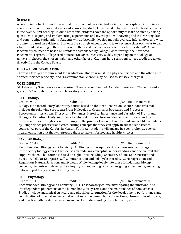#### <span id="page-29-0"></span>**SCIENCE**

A good science background is essential in our technology-oriented society and workplace. Our science classes focus on the essential skills and knowledge students will need to be scientifically literate citizens in the twenty-first century. In our classrooms, students have the opportunity to learn science by asking questions, designing and implementing experiments and investigations, analyzing and interpreting data, and constructing explanations. Students will additionally develop models, evaluate information, and write arguments based on evidence. Students are strongly encouraged to take a science class each year to gain a better understanding of the world around them and become more scientifically literate. AP (Advanced Placement) courses are based on standards established by College Board through the Advanced Placement Program. College credit offered for AP courses vary widely depending on the college or university chosen, the chosen major, and other factors. Citations here regarding college credit are taken directly from the College Board.

#### **HIGH SCHOOL GRADUATION**

There is a two-year requirement for graduation. One year must be a physical science and the other a life science; "Science & Society" and "Environmental Science" may be used to satisfy either year.

#### **UC ELIGIBILITY**

"d" Laboratory Science – 2 years required, 3 years recommended. A student must earn 20 credits and a grade of "C" or higher in approved laboratory science courses.

| 3110: Biology |  |
|---------------|--|
|---------------|--|

| Grades: 9-12                                                                                                  | Credits: 10                                                                                          | UC/CSU Requirement: d |
|---------------------------------------------------------------------------------------------------------------|------------------------------------------------------------------------------------------------------|-----------------------|
|                                                                                                               | Biology is an introductory laboratory course based on the Next Generation Science Standards that     |                       |
|                                                                                                               | includes the following core ideas: From Molecules to Organisms: Structures and Processes;            |                       |
| Ecosystems: Interactions, Energy, and Dynamics; Heredity: Inheritance and Variation of Traits; and            |                                                                                                      |                       |
| Biological Evolution: Unity and Diversity. Students will explore and deepen their understanding of            |                                                                                                      |                       |
| these core ideas through scientific inquiry. In the process, they will learn to think and act like scientists |                                                                                                      |                       |
|                                                                                                               | by using science practices and cross-cutting concepts that they can apply in subsequent science      |                       |
|                                                                                                               | courses. As part of the California Healthy Youth Act, students will engage in a comprehensive sexual |                       |
|                                                                                                               | health education unit that will prepare them to make informed and healthy choices.                   |                       |

#### **3120: AP Biology**

| Grades: 11-12                                                                              | Credits: 10 | UC/CSU Requirement: d |
|--------------------------------------------------------------------------------------------|-------------|-----------------------|
| Recommended: Biology and Chemistry. AP Biology is the equivalent of a two-semester college |             |                       |

introductory biology course that focuses on enduring conceptual understandings and the content that supports them. This course is based on eight units including: Chemistry of Life, Cell Structure and Function, Cellular Energetics, Cell Communication and Cell Cycle, Heredity, Gene Expression and Regulation, Natural Selection, and Ecology. While delving deeply into these foundational biology concepts, students will develop their inquiry and reasoning skills by designing experiments, analyzing data, and justifying arguments using evidence.

| 3130: Physiology                                                                                         |             |                       |
|----------------------------------------------------------------------------------------------------------|-------------|-----------------------|
| Grades: 11-12                                                                                            | Credits: 10 | UC/CSU Requirement: d |
| Recommended: Biology and Chemistry. This is a laboratory course investigating the functional and         |             |                       |
| interdependent phenomena of the human body, its systems, and the maintenance of homeostasis.             |             |                       |
| Studies include anatomical structure and physiological function for the development, performance, and    |             |                       |
| coordination of internal and external activities of the human body. Dissections, observations of organs, |             |                       |
| and practice with models serve as an anchor for understanding these human systems.                       |             |                       |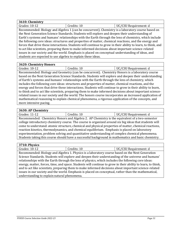| 3610: Chemistry                                                                                               |                                                              |                                                                                                       |
|---------------------------------------------------------------------------------------------------------------|--------------------------------------------------------------|-------------------------------------------------------------------------------------------------------|
| Grades: 10-12                                                                                                 | Credits: 10                                                  | UC/CSU Requirement: d                                                                                 |
|                                                                                                               |                                                              | Recommended: Biology and Algebra 1 (can be concurrent). Chemistry is a laboratory course based on     |
|                                                                                                               |                                                              | the Next Generation Science Standards. Students will explore and deepen their understanding of        |
|                                                                                                               |                                                              | Earth's systems and humans' relationships with the Earth through the lens of chemistry, which include |
| the following core ideas: structures and properties of matter, chemical reactions, and the energy and         |                                                              |                                                                                                       |
| forces that drive these interactions. Students will continue to grow in their ability to learn, to think, and |                                                              |                                                                                                       |
| to act like scientists, preparing them to make informed decisions about important science-related             |                                                              |                                                                                                       |
|                                                                                                               |                                                              | issues in our society and the world. Emphasis is placed on conceptual understanding of ideas, and     |
|                                                                                                               | students are expected to use algebra to explain these ideas. |                                                                                                       |

## **3620: Chemistry Honors**

| Grades: 10-12                                                                                              | Credits: 10                                                                                          | UC/CSU Requirement: d |  |
|------------------------------------------------------------------------------------------------------------|------------------------------------------------------------------------------------------------------|-----------------------|--|
|                                                                                                            | Recommended: Biology and Geometry (can be concurrent). Chemistry Honors is a laboratory course       |                       |  |
|                                                                                                            | based on the Next Generation Science Standards. Students will explore and deepen their understanding |                       |  |
| of Earth's systems and humans' relationships with the Earth through the lens of chemistry, which           |                                                                                                      |                       |  |
| includes the following core ideas: structures and properties of matter, chemical reactions, and the        |                                                                                                      |                       |  |
| energy and forces that drive these interactions. Students will continue to grow in their ability to learn, |                                                                                                      |                       |  |
| to think and to act like scientists, preparing them to make informed decisions about important science-    |                                                                                                      |                       |  |
| related issues in our society and the world. The honors course incorporates an increased application of    |                                                                                                      |                       |  |
| mathematical reasoning to explain chemical phenomena, a rigorous application of the concepts, and          |                                                                                                      |                       |  |
| more intensive pacing.                                                                                     |                                                                                                      |                       |  |

# **3630: AP Chemistry**

| Grades: 11-12                                                                                          | Credits: 10                                                                                         | UC/CSU Requirement: d |
|--------------------------------------------------------------------------------------------------------|-----------------------------------------------------------------------------------------------------|-----------------------|
|                                                                                                        | Recommended: Chemistry Honors and Algebra 2. AP Chemistry is the equivalent of a two-semester       |                       |
| college introductory chemistry course. The course is organized around six big ideas that students will |                                                                                                     |                       |
| come to understand: atomic structure, chemical and physical properties of matter, chemical reactions,  |                                                                                                     |                       |
| reaction kinetics, thermodynamics, and chemical equilibrium. Emphasis is placed on laboratory          |                                                                                                     |                       |
| experimentation, problem solving and quantitative understanding of complex chemical phenomena.         |                                                                                                     |                       |
|                                                                                                        | Students taking this course should have a successful background in mathematics and basic chemistry. |                       |

#### **3710: Physics**

| Grades: 10-12                                                                                                | Credits: 10                                                                                           | UC/CSU Requirement: d |
|--------------------------------------------------------------------------------------------------------------|-------------------------------------------------------------------------------------------------------|-----------------------|
|                                                                                                              | Recommended: Biology and Algebra 1. Physics is a laboratory course based on the Next Generation       |                       |
|                                                                                                              | Science Standards. Students will explore and deepen their understanding of the universe and humans'   |                       |
| relationships with the Earth through the lens of physics, which includes the following core ideas:           |                                                                                                       |                       |
| energy, matter, forces, time, and space. Students will continue to grow in their ability to learn, to think, |                                                                                                       |                       |
|                                                                                                              | and to act like scientists, preparing them to make informed decisions about important science-related |                       |
|                                                                                                              | issues in our society and the world. Emphasis is placed on conceptual, rather than the mathematical,  |                       |
| understanding to explain natural phenomena.                                                                  |                                                                                                       |                       |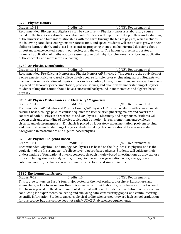# **3720: Physics Honors**

Grades: 10-12 **Credits: 10** Credits: 10 **UC/CSU Requirement: d** Recommended: Biology and Algebra 2 (can be concurrent). Physics Honors is a laboratory course based on the Next Generation Science Standards. Students will explore and deepen their understanding of the universe and humans' relationships with the Earth through the lens of physics, which includes the following core ideas: energy, matter, forces, time, and space. Students will continue to grow in their ability to learn, to think, and to act like scientists, preparing them to make informed decisions about important science-related issues in our society and the world. The honors course incorporates an increased application of mathematical reasoning to explain physical phenomena, a rigorous application of the concepts, and more intensive pacing.

#### **3730: AP Physics C: Mechanics**

| Grades: 11-12                                                                                           | Credits: 10 | UC/CSU Requirement: d |
|---------------------------------------------------------------------------------------------------------|-------------|-----------------------|
| December anded. Due Coloning Hangue and Dhysics Hangue (AD Dhysics 1, This course is the conjuminate of |             |                       |

Recommended: Pre-Calculus Honors and Physics Honors/AP Physics 1. This course is the equivalent of a one-semester, calculus-based, college physics course for science or engineering majors. Students will deepen their understanding of physics topics such as motion, forces, momentum, and energy. Emphasis is placed on laboratory experimentation, problem solving, and quantitative understanding of physics. Students taking this course should have a successful background in mathematics and algebra-based physics.

#### **3735: AP Physics C: Mechanics and Electricity/ Magnetism**

Grades: 11-12 Credits: 10 Credits: 10 UC/CSU Requirement: d Recommended: AP Calculus and Physics Honors/AP Physics 1. This course aligns with a two-semester, calculus-based, college physics course sequence for science or engineering majors and covers the content of both AP Physics C: Mechanics and AP Physics C: Electricity and Magnetism. Students will deepen their understanding of physics topics such as motion, forces, momentum, energy, fields, circuits, and electromagnetism. Emphasis is placed on laboratory experimentation, problem solving, and quantitative understanding of physics. Students taking this course should have a successful background in mathematics and algebra-based physics.

#### **3750: AP Physics 1: Algebra-based** Grades: 10-12 **Credits: 10** Credits: 10 **UC/CSU Requirement: d** Recommended: Algebra 2 and Biology. AP Physics 1 is based on the "big ideas" in physics, and is the equivalent of the first semester of college-level, algebra-based physics. Students will cultivate their understanding of foundational physics concepts through inquiry-based investigations as they explore topics including kinematics, dynamics, forces, circular motion, gravitation, work, energy, power, rotational motion, mechanical waves, sound, electric force and simple circuits.

| <b>3810: Environmental Science</b>                                                                       |                                                                                    |                       |
|----------------------------------------------------------------------------------------------------------|------------------------------------------------------------------------------------|-----------------------|
| Grades: 9-12                                                                                             | Credits: 10                                                                        | UC/CSU Requirement: g |
| This course centers on Earth's four major systems: the hydrosphere, biosphere, lithosphere, and          |                                                                                    |                       |
| atmosphere, with a focus on how the choices made by individuals and groups have an impact on each.       |                                                                                    |                       |
| Emphasis is placed on the development of skills that will benefit students in all future courses such as |                                                                                    |                       |
| conducting lab experiments, collecting and analyzing data, constructing graphs, and communicating        |                                                                                    |                       |
| scientific information. Students can earn physical or life science credit toward high school graduation  |                                                                                    |                       |
|                                                                                                          | for this course, but this course does not satisfy UC/CSU lab science requirements. |                       |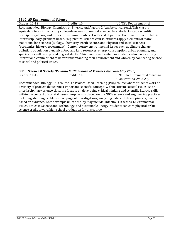| 3840: AP Environmental Science                                                                |                                                                                                        |                       |  |
|-----------------------------------------------------------------------------------------------|--------------------------------------------------------------------------------------------------------|-----------------------|--|
| Grades: 11-12                                                                                 | Credits: 10                                                                                            | UC/CSU Requirement: d |  |
|                                                                                               | Recommended: Biology, Chemistry or Physics, and Algebra 2 (can be concurrent). This class is           |                       |  |
|                                                                                               | equivalent to an introductory college-level environmental science class. Students study scientific     |                       |  |
|                                                                                               | principles, systems, and explore how humans interact with and depend on their environment. In this     |                       |  |
|                                                                                               | interdisciplinary, problem-based, "big-picture" science course, students apply elements of many        |                       |  |
| traditional lab sciences (Biology, Chemistry, Earth Science, and Physics) and social sciences |                                                                                                        |                       |  |
| (economics, history, government). Contemporary environmental issues such as climate change,   |                                                                                                        |                       |  |
|                                                                                               | pollution, population dynamics, food and land resources, energy consumption, urban planning, and       |                       |  |
|                                                                                               | species loss will be explored in great depth. This class is well suited for students who have a strong |                       |  |
|                                                                                               | interest and commitment to better understanding their environment and who enjoy connecting science     |                       |  |
| to social and political issues.                                                               |                                                                                                        |                       |  |

| 3850: Science & Society (Pending FUHSD Board of Trustees Approval May 2022)                                  |             |                                                                                                   |
|--------------------------------------------------------------------------------------------------------------|-------------|---------------------------------------------------------------------------------------------------|
| Grades: 10-12                                                                                                | Credits: 10 | UC/CSU Requirement: d (pending                                                                    |
|                                                                                                              |             | UC Approval SY 2022-23)                                                                           |
|                                                                                                              |             | Recommended: Biology. This course is a Project Based Learning (PBL) course where students work on |
| a variety of projects that connect important scientific concepts within current societal issues. As an       |             |                                                                                                   |
| interdisciplinary science class, the focus is on developing critical thinking and scientific literacy skills |             |                                                                                                   |
| within the context of societal issues. Emphasis is placed on the NGSS science and engineering practices      |             |                                                                                                   |
| including: defining problems, carrying out investigations, analyzing data, and developing arguments          |             |                                                                                                   |
| based on evidence. Some example units of study may include: Infectious Diseases, Environmental               |             |                                                                                                   |
| Issues, Ethics in Science and Technology, and Sustainable Energy. Students can earn physical or life         |             |                                                                                                   |
| science credit toward high school graduation for this course.                                                |             |                                                                                                   |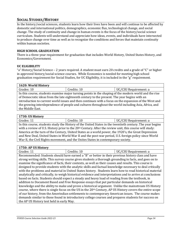#### <span id="page-33-0"></span>**SOCIAL STUDIES/HISTORY**

In the history/social sciences, students learn how their lives have been and will continue to be affected by domestic and international politics, demographics, economic flux, technological change, and social change. The study of continuity and change in human events is the focus of the history/social science curriculum. Students will understand and appreciate how ideas, events, and individuals have intersected to produce change over time as well as to recognize the conditions and forces that maintain continuity within human societies.

#### **HIGH SCHOOL GRADUATION**

There is a three-year requirement for graduation that includes World History, United States History, and Economics/Government.

#### **UC ELIGIBILITY**

"a" History/Social Science – 2 years required. A student must earn 20 credits and a grade of "C" or higher in approved history/social science courses. While Economics is needed for meeting high school graduation requirement for Social Studies, for UC Eligibility, it is included in the "g" requirement.

| 1620: World History                                                                                   |             |                       |
|-------------------------------------------------------------------------------------------------------|-------------|-----------------------|
| Grades: 10                                                                                            | Credits: 10 | UC/CSU Requirement: a |
| In this course, students examine major turning points in the shaping of the modern world and the rise |             |                       |
| of Democratic ideas from the late eighteenth century to the present. The year begins with an          |             |                       |
| introduction to current world issues and then continues with a focus on the expansion of the West and |             |                       |
| the growing interdependence of people and cultures throughout the world including Asia, Africa, and   |             |                       |
| the Middle East.                                                                                      |             |                       |

#### **1730: US History**

Grades: 11 Credits: 10 Credits: 10 UC/CSU Requirement: a In this course, students study the History of the United States in the twentieth century. The year begins with a review of U.S. History prior to the 20<sup>th</sup> Century. After the review unit, this course will study: America at the turn of the Century, United States as a world power, the 1920's, the Great Depression and New Deal, United States in World War II and the post-war period, U.S. foreign policy since World War II, the Civil Rights movement, and the Unites States in contemporary society.

#### **1750: AP US History**

Grades: 11 Credits: 10 Credits: 10 UC/CSU Requirement: a Recommended: Students should have earned a "B" or better in their previous history class and have strong writing skills. This survey course gives students a thorough grounding in facts, and goes on to examine the significance of facts, their contexts, as well as their causes and results. This course is designed to provide students with the analytic skills and factual knowledge necessary to deal critically with the problems and material in United States history. Students learn how to read historical material analytically and critically, to weigh historical evidence and interpretations and to arrive at conclusions based on facts. Students should expect a steady and heavy load of reading from the textbook, in addition to Document Based and Free Response essays that put particular demands on historical knowledge and the ability to make and prove a historical argument. Unlike the mainstream US History course, where there is single focus on the US in the 20th Century, AP US History covers the entire scope of our history, from the Amerindian settlements to contemporary American issues. The course makes demands similar to those found in introductory college courses and prepares students for success on the AP US History test held in early May.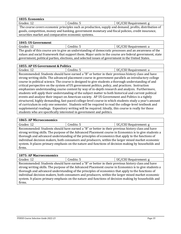| 1835: Economics |            |                       |
|-----------------|------------|-----------------------|
| Grades: 12      | Credits: 5 | UC/CSU Requirement: g |

The course covers economic principles such as production, supply and demand, profits, distribution of goods, competition, money and banking, government monetary and fiscal policies, credit insurance, securities market and comparative economic systems.

#### **1845: US Government**

| Grades: 12                                                                                             | Credits: 5                                                                                            | UC/CSU Requirement: a |
|--------------------------------------------------------------------------------------------------------|-------------------------------------------------------------------------------------------------------|-----------------------|
|                                                                                                        | The goals of this course are to give an understanding of democratic processes and an awareness of the |                       |
| values and social framework that support them. Major units in the course are federal government, state |                                                                                                       |                       |
| government, political parties, elections, and selected issues of government in the United States.      |                                                                                                       |                       |

#### **1855: AP US Government & Politics**

| TODOLIM OD GOTOLIMIQIN QI JIMOD                                                                   |            |                       |
|---------------------------------------------------------------------------------------------------|------------|-----------------------|
| Grades: 12                                                                                        | Credits: 5 | UC/CSU Requirement: a |
| Recommended: Students should have earned a "B" or better in their previous history class and have |            |                       |
| $\cdots$ $\cdots$ $\cdots$                                                                        |            |                       |

strong writing skills. The advanced placement course in government parallels an introductory college course in political science. The course is designed to give students a thorough understanding of and critical perspective on the system of US government politics, policy, and practices. Instruction emphasizes understanding course content by way of in-depth research and analysis. Furthermore, students will apply their understanding of the subject matter to both historical and current political events and analyze their impact on American society. AP US Government and Politics is a tightly structured, highly demanding, fast-paced college-level course in which students study a year's amount of curriculum in only one semester. Students will be required to read the college-level textbook and supplemental readings. Expository writing will be required. Ideally, this course is really for those students who are specifically interested in government and politics.

# **1865: AP Microeconomics**

Grades: 12 Credits: 5 UC/CSU Requirement: g Recommended: Students should have earned a "B" or better in their previous history class and have strong writing skills. The purpose of the Advanced Placement course in Economics is to give students a thorough and advanced understanding of the principles of economics that apply to the functions of individual decision makers, both consumers and producers, within the larger mixed market economic system. It places primary emphasis on the nature and functions of decision making by households and firms.

#### **1875: AP Macroeconomics**

| Grades: 12                                                                                        | Credits: 5                                                                                             | UC/CSU Requirement: g |
|---------------------------------------------------------------------------------------------------|--------------------------------------------------------------------------------------------------------|-----------------------|
|                                                                                                   | Recommended: Students should have earned a "B" or better in their previous history class and have      |                       |
|                                                                                                   | strong writing skills. The purpose of the Advanced Placement course in Economics is to give students a |                       |
| thorough and advanced understanding of the principles of economics that apply to the functions of |                                                                                                        |                       |
|                                                                                                   | individual decision makers, both consumers and producers, within the larger mixed market economic      |                       |
|                                                                                                   | system. It places primary emphasis on the nature and functions of decision making by households and    |                       |
| firms.                                                                                            |                                                                                                        |                       |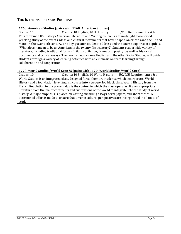#### <span id="page-35-0"></span>**THE INTERDISCIPLINARY PROGRAM**

#### **1760: American Studies (pairs with 1160: American Studies)**

Grades: 11 Credits: 10 English, 10 US History UC/CSU Requirement: a & b This combined US History/American Literature and Writing course is a team-taught, two-period, yearlong study of the events, ideas and cultural movements that have shaped Americans and the United States in the twentieth century. The key question students address and the course explores in depth is, "What does it mean to be an American in the twenty-first century?" Students read a wide variety of literature, including traditional forms (fiction, nonfiction, drama and poetry) as well as historical documents and critical essays. The two instructors, one English and the other Social Studies, will guide students through a variety of learning activities with an emphasis on team learning through collaboration and cooperation.

#### **1770: World Studies/World Core SS (pairs with 1170: World Studies/World Core)**

Grades: 10 **Credits: 10 English, 10 World History** UC/CSU Requirement: a & b World Studies is an integrated class, designed for sophomore students, which incorporates World History and a foundation level English course into a two-period block class. World History from the French Revolution to the present day is the context in which the class operates. It uses appropriate literature from the major continents and civilizations of the world to integrate into the study of world history. A major emphasis is placed on writing, including essays, term papers, and short theses. A determined effort is made to ensure that diverse cultural perspectives are incorporated in all units of study.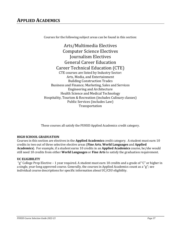# <span id="page-36-0"></span>**APPLIED ACADEMICS**

Courses for the following subject areas can be found in this section:

Arts/Multimedia Electives Computer Science Electives Journalism Electives General Career Education Career Technical Education (CTE) CTE courses are listed by Industry Sector: Arts, Media, and Entertainment Building Construction Trades Business and Finance; Marketing, Sales and Services Engineering and Architecture Health Science and Medical Technology Hospitality, Tourism & Recreation (includes Culinary classes) Public Services (includes Law) Transportation

These courses all satisfy the FUHSD Applied Academics credit category.

#### **HIGH SCHOOL GRADUATION**

Courses in this section are electives in the **Applied Academics** credit category. A student must earn 10 credits in two out of three selective elective areas (**Fine Arts**, **World Languages** and **Applied Academics**). For example, if a student earns 10 credits in an **Applied Academics** course, he/she would still need 10 credits from either **World Languages** or **Fine Arts** to satisfy the graduation requirement.

#### **UC ELIGIBILITY**

"g" College Prep Elective – 1 year required. A student must earn 10 credits and a grade of "C" or higher in a single, year-long approved course. Generally, the courses in Applied Academics count as a "g"; see individual course descriptions for specific information about UC/CSU eligibility.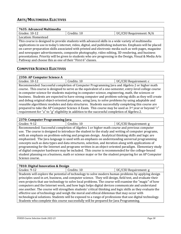<span id="page-37-0"></span>

| 7635: Advanced Multimedia                                  |             |                                                                                                                                                                                                                                                                                                                                                                                                                                                                                                                                        |  |
|------------------------------------------------------------|-------------|----------------------------------------------------------------------------------------------------------------------------------------------------------------------------------------------------------------------------------------------------------------------------------------------------------------------------------------------------------------------------------------------------------------------------------------------------------------------------------------------------------------------------------------|--|
| Grades: 10-12                                              | Credits: 10 | UC/CSU Requirement: N/A                                                                                                                                                                                                                                                                                                                                                                                                                                                                                                                |  |
| Location: Homestead                                        |             |                                                                                                                                                                                                                                                                                                                                                                                                                                                                                                                                        |  |
| Pathway and choose this as one of their "First 6" classes. |             | This course is designed to provide students with advanced skills in a wide variety of multimedia<br>applications in use in today's internet, video, digital, and publishing industries. Emphasis will be placed<br>on career preparation skills associated with printed and electronic media such as web pages, magazine<br>and newspaper advertisements, composite photography, video editing, 3D rendering, and business<br>presentations. Priority will be given to students who are progressing in the Design, Visual & Media Arts |  |

#### <span id="page-37-1"></span>**COMPUTER SCIENCE ELECTIVES**

| 2350: AP Computer Science A                                                                            |                                                                                                          |                       |
|--------------------------------------------------------------------------------------------------------|----------------------------------------------------------------------------------------------------------|-----------------------|
| Grades: 10-12                                                                                          | Credits: 10                                                                                              | UC/CSU Requirement: c |
|                                                                                                        | Recommended: Successful completion of Computer Programming Java and Algebra 2 or higher math             |                       |
|                                                                                                        | course. This course is designed to serve as the equivalent of a one-semester, entry-level college course |                       |
|                                                                                                        | in computer science for students majoring in computer science, engineering, math, the sciences or        |                       |
| business. Students are expected to have strong computer and problem-solving skills as they will create |                                                                                                          |                       |
| and debug original object-oriented programs, using Java, to solve problems by using adaptable and      |                                                                                                          |                       |
| reusable algorithmic modules and data structures. Students successfully completing this course are     |                                                                                                          |                       |
| prepared to take the AP Computer Science A Exam. This course may be used as 3rd year or beyond "c"     |                                                                                                          |                       |
|                                                                                                        | requirement for "a" to "g" eligibility in addition to the successful completion of Algebra 2.            |                       |

#### **2370: Computer Programming Java**

| Grades: 9-12                                                                                          | Credits: 10                                                                                         | UC/CSU Requirement: g |  |
|-------------------------------------------------------------------------------------------------------|-----------------------------------------------------------------------------------------------------|-----------------------|--|
|                                                                                                       | Recommended: Successful completion of Algebra 1 or higher math course and previous computer         |                       |  |
|                                                                                                       | use. The course is designed to introduce the student to the study and writing of computer programs, |                       |  |
|                                                                                                       | with an emphasis on problem-solving and program design. Analytical thinking skills and logic are    |                       |  |
|                                                                                                       | emphasized. The Java language is used with an emphasis on understanding universal programming       |                       |  |
| concepts such as data types and data structures, selection, and iteration along with applications of  |                                                                                                     |                       |  |
| programming for the Internet and programs written in an object-oriented paradigm. Elementary study    |                                                                                                     |                       |  |
| of digital computer hardware may be included. This course is recommended for the college-bound        |                                                                                                     |                       |  |
| student planning on a business, math or science major or for the student preparing for an AP Computer |                                                                                                     |                       |  |
| Science course.                                                                                       |                                                                                                     |                       |  |

#### **7810: Digital Innovation & Design**

Grades: 9-12 **Credits: 10** Credits: 10 **UC/CSU Requirement: g** 

Students will explore the potential of technology to solve modern human problems by applying design principles used in art, business, and computer science. They will design, field test, and evaluate their own projects that use technology to solve local problems. The course will examine the "magic" of how computers and the Internet work, and how logic helps digital devices communicate and understand one another. The course will strengthen students' critical thinking and logic skills as they evaluate the effective use of technology and weigh the moral and ethical dilemmas that may occur with technological solutions. Students will be exposed to a range of professions that use digital technology. Students who complete this course successfully will be prepared for Java Programming.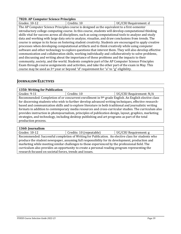#### **7820: AP Computer Science Principles**

Grades: 10-12 Credits: 10 Credits: 10 UC/CSU Requirement: d The AP Computer Science Principles course is designed as the equivalent to a first-semester introductory college computing course. In this course, students will develop computational thinking skills vital for success across all disciplines, such as using computational tools to analyze and study data and working with large data sets to analyze, visualize, and draw conclusions from trends. The course is unique in its focus on fostering student creativity. Students are encouraged to apply creative processes when developing computational artifacts and to think creatively while using computer software and other technology to explore questions that interest them. They will also develop effective communication and collaboration skills, working individually and collaboratively to solve problems, and discussing and writing about the importance of these problems and the impacts to their community, society, and the world. Students complete part of the AP Computer Science Principles Exam through course assignments and activities, and take the other part of the exam in May. This course may be used as 3rd year or beyond "d" requirement for "a" to "g" eligibility.

#### <span id="page-38-0"></span>**JOURNALISM ELECTIVES**

| 1350: Writing for Publication                                                                          |             |                                                                                                      |
|--------------------------------------------------------------------------------------------------------|-------------|------------------------------------------------------------------------------------------------------|
| Grades: 9-11                                                                                           | Credits: 10 | UC/CSU Requirement: N/A                                                                              |
|                                                                                                        |             | Recommended: Completion of or concurrent enrollment in 9th grade English. An English elective class  |
|                                                                                                        |             | for discerning students who wish to further develop advanced writing techniques, effective research- |
| based and communication skills and to explore literature in both traditional and journalistic writing  |             |                                                                                                      |
| formats in addition to contemporary media resources and cross-curricular studies. The curriculum also  |             |                                                                                                      |
| provides instruction in photojournalism, principles of publication design, layout, graphics, marketing |             |                                                                                                      |
|                                                                                                        |             | strategies, and technology, including desktop publishing and art programs as part of the total       |
| production process.                                                                                    |             |                                                                                                      |
|                                                                                                        |             |                                                                                                      |

#### **1360: Journalism**

| Grades: 10-12                                                                                   | Credits: 10 (repeatable)                                                                          | UC/CSU Requirement: g |
|-------------------------------------------------------------------------------------------------|---------------------------------------------------------------------------------------------------|-----------------------|
|                                                                                                 | Recommended: Successful completion of Writing for Publication. An elective class for students who |                       |
| produce the student newspaper, assuming full responsibility for its development, production and |                                                                                                   |                       |
| marketing while meeting similar challenges to those experienced by the professional field. The  |                                                                                                   |                       |
| curriculum also provides an opportunity to create a personal reading program representing the   |                                                                                                   |                       |
| research focused on societal forces, trends and issues.                                         |                                                                                                   |                       |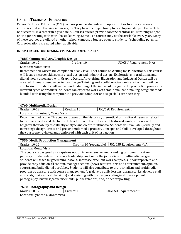#### <span id="page-39-0"></span>**CAREER TECHNICAL EDUCATION**

Career Technical Education (CTE) courses provide students with opportunities to explore careers in industries that are thriving in our region. They have the opportunity to develop and deepen the skills to be successful in a career in a given field. Courses offered provide career/technical skills training and/or on-the-job training with work-based learning. Some CTE courses may not be available every year. Many of these courses are offered on other school campuses, but are open to students if scheduling permits. Course locations are noted when applicable.

#### **INDUSTRY SECTOR: DESIGN, VISUAL, AND MEDIA ARTS**

| ------------          |          |                         |
|-----------------------|----------|-------------------------|
| 10-12<br>Grades:      | Credits: | UC/CSU Requirement: N/A |
| Location: Monta Vista |          |                         |

Recommended: Successful completion of any level 1 Art course or Writing for Publications. This course will focus on career skill sets in visual design and industrial design. Explorations in traditional and digital media associated with Graphic Design, Advertising, Illustration and Industrial Design will be covered. Human-based experiences, Design Thinking and a collaborative work environment will be emphasized. Students will gain an understanding of the impact of design on the production process for different types of products. Students can expect to work with traditional hand-making design methods blended with using the computer. No previous computer or design skills are necessary.

#### **4760: Multimedia Design**

| Grades: 10-12                                                            | redits: 10. | /CSU Requirement: f |  |
|--------------------------------------------------------------------------|-------------|---------------------|--|
| $I_{\text{scat}}$ $II_{\text{scat}}$ $I_{\text{scat}}$ $I_{\text{scat}}$ |             |                     |  |

Location: Homestead, Monta Vista

Recommended: None. This course focuses on the historical, theoretical, and cultural issues as related to the mass media and the Internet. In addition to theoretical and historical work, students will heighten their ability to critically analyze and create multimedia. Students will evaluate (verbally and in writing), design, create and present multimedia projects. Concepts and skills developed throughout the course are revisited and reinforced with each unit of instruction.

#### **7550: Media Production Management**

Grades: 10-12 **Credits: 10 (19)** Credits: 10 (repeatable) UC/CSU Requirement: N/A

Location: Monta Vista

This course is designed as a capstone option in an extensive media and digital communication pathway for students who are in a leadership position in the journalism or multimedia program. Students will teach targeted mini-lessons, showcase excellent work samples, support reporters and provide copy edits on all content, manage sections (news, features, arts and entertainment, opinion, sports), and build digital portfolios. Students will also contribute to the journalism and multimedia program by assisting with course management (e.g. develop daily lessons, assign stories, develop staff editorials, make ethical decisions) and assisting with the design, coding/web development, photography, business/advertisements, public relations, and/or beat reporting.

#### **7670: Photography and Design**

| Grades: 10-12                   | Credits: 10 | UC/CSU Requirement: f |
|---------------------------------|-------------|-----------------------|
| Location: Lynbrook, Monta Vista |             |                       |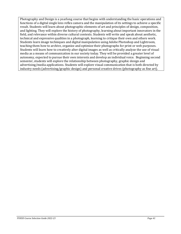Photography and Design is a yearlong course that begins with understanding the basic operations and functions of a digital single lens reflex camera and the manipulation of its settings to achieve a specific result. Students will learn about photographic elements of art and principles of design, composition, and lighting. They will explore the history of photography, learning about important innovators in the field, and relevance within diverse cultural contexts. Students will write and speak about aesthetic, technical and expressive qualities in a photograph, learning to critique their own and others work. Students learn image techniques and digital manipulation using Adobe Photoshop and Lightroom, teaching them how to archive, organize and optimize their photographs for print or web purposes. Students will learn how to creatively alter digital images as well as critically analyze the use of visual media as a means of communication in our society today. They will be provided a greater level of autonomy, expected to pursue their own interests and develop an individual voice. Beginning second semester, students will explore the relationship between photography, graphic design and advertising/media applications. Students will explore visual communication that is both directed by industry needs (advertising/graphic design) and personal creative drives (photography as fine art).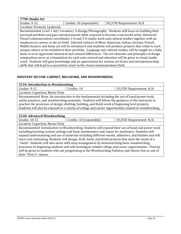| 7790: Studio Art                                                                                          |                          |                                                                                                     |
|-----------------------------------------------------------------------------------------------------------|--------------------------|-----------------------------------------------------------------------------------------------------|
| Grades: 9-12                                                                                              | Credits: 10 (repeatable) | UC/CSU Requirement: N/A                                                                             |
| Location: Fremont, Lynbrook                                                                               |                          |                                                                                                     |
|                                                                                                           |                          | Recommended: Level 1 Art/ Ceramics/ 3-Design/Photography. Students will focus on building their     |
|                                                                                                           |                          | personal portfolio and gain entrepreneurial skills required to become a successful artist. Advanced |
|                                                                                                           |                          | Visual Communications coordinates 2-D and 3-D studio work and cultural studies together with an     |
| emphasis on careers in the art field. Selected cultures of Meso-American, Italian, German, French,        |                          |                                                                                                     |
| Middle Eastern and Asian art will be introduced and students will produce projects that relate to each    |                          |                                                                                                     |
| unique culture to be included in their portfolio. Language and cultural studies will be taught on a daily |                          |                                                                                                     |
| basis so as to appreciate historical and cultural differences. The art elements and principles of design  |                          |                                                                                                     |
| composition serve as a foundation for each unit covered and attention will be given to visual studio      |                          |                                                                                                     |
| work. Students will gain knowledge and an appreciation for various art forms and entrepreneurship         |                          |                                                                                                     |
| skills that will lead to a successful career in the visual communications field.                          |                          |                                                                                                     |
|                                                                                                           |                          |                                                                                                     |

#### **INDUSTRY SECTOR: CABINET, MILLWORK, AND WOODWORKING**

| 5110: Introduction to Woodworking                                                                       |                                                                                                        |                         |
|---------------------------------------------------------------------------------------------------------|--------------------------------------------------------------------------------------------------------|-------------------------|
| Grades: 9-12                                                                                            | Credits: 10                                                                                            | UC/CSU Requirement: N/A |
| Location: Cupertino, Monta Vista                                                                        |                                                                                                        |                         |
|                                                                                                         | Recommended: None. An introduction to the fundamentals including the use of hand/power tools,          |                         |
|                                                                                                         | safety practices, and woodworking materials. Students will follow the guidance of the instructor to    |                         |
|                                                                                                         | practice the processes of design, drafting, building, and finish work of beginning level projects.     |                         |
|                                                                                                         | Students will also be exposed to a variety of college and career opportunities related to woodworking. |                         |
|                                                                                                         |                                                                                                        |                         |
| 5120: Advanced Woodworking                                                                              |                                                                                                        |                         |
| Grades: 10-12                                                                                           | Credits: 10 (repeatable)                                                                               | UC/CSU Requirement: N/A |
| Location: Cupertino, Monta Vista                                                                        |                                                                                                        |                         |
| Recommended: Introduction to Woodworking. Students will expand their use of hand and power tools        |                                                                                                        |                         |
| including learning custom settings and basic maintenance and repair for machinery. Students will        |                                                                                                        |                         |
| expand understanding and use of materials including different woods, adhesives, and finishes and will   |                                                                                                        |                         |
| learn cost estimating. Students will design, draft, build, and finish projects that meet the needs of a |                                                                                                        |                         |
| "client". Students will also assist with shop management by demonstrating basic woodworking             |                                                                                                        |                         |
| processes to beginning students and will investigate related college and career opportunities. Priority |                                                                                                        |                         |
|                                                                                                         | will be given to students who are progressing in the Woodworking Pathway and choose this as one of     |                         |

their "First 6" classes.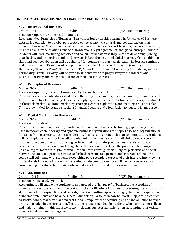#### **INDUSTRY SECTORS: BUSINESS & FINANCE; MARKETING, SALES, & SERVICE**

#### **4570: International Business** Grades: 10-12 | Credits: 10 | UC/CSU Requirement: g

Location: Cupertino, Homestead, Monta Vista

Recommended: Principles of Business. This course builds on skills learned in Principles of Business with an introduction to a global perspective on the economic, cultural, and political factors that influence business. The course includes fundamentals of import/export business, business structures, business plans, trade relations, financial transactions, legal agreements, and global entrepreneurship. Students will learn marketing activities and consumer behavior as they relate to developing, pricing, distributing, and promoting goods and services in both domestic and global markets. Critical thinking skills and peer collaboration will be enhanced for students through participation in Socratic seminars and group projects. Examples of group projects include "How to do Business in (Country) for Dummies", "Business Plans", "Export Project", "Travel Project" and "Discovering Your Management and Personality Profile". Priority will be given to students who are progressing in the International Business Pathway and choose this as one of their "First 6" classes.

#### **4580: Principles of Business**

Grades: 9-12 **Credits: 10** Credits: 10 **UC/CSU Requirement:** g Location: Cupertino, Fremont, Homestead, Lynbrook, Monta Vista

This business course introduces students to the study of Economics, Personal Finance, Commerce, and Entrepreneurship. Course projects focus on applying economic concepts, financial literacy, investments in the stock market, sales and marketing strategies, career exploration, and creating a business plan. This course is ideal for students seeking financial freedom and a foundation for success in any career.

#### **4590: Digital Marketing in Business**  Grades: 9-12 **Credits: 10** Credits: 10 **UC/CSU Requirement: g** Location: Homestead This course provides an in-depth, hands-on introduction to business technology, specifically how it is used in today's contemporary and dynamic business organizations to support essential organizational functions from marketing, business leadership, finance, entrepreneurship, to communication. Students will also explore current social media trends, and research ways social media influences successful business practices today, and apply higher level thinking to interpret business trends and apply this to create effective business and marketing plans. Students will also learn the process of building a positive digital footprint, digital communication norms through various digital platforms and social networking sites, and practice strategies for both personal and professional interests online. The course will culminate with students researching post-secondary careers of their interest, interviewing professionals in selected careers, and creating an electronic career portfolio, which can serve as a resource to guide students in their post-secondary education and future career pursuit.

#### **4710: Accounting 1**

| Grades: 10-12                                                                                         | Credits: 10                                                                                                 | UC/CSU Requirement: g |  |
|-------------------------------------------------------------------------------------------------------|-------------------------------------------------------------------------------------------------------------|-----------------------|--|
| Location: Homestead, Lynbrook                                                                         |                                                                                                             |                       |  |
|                                                                                                       | Accounting 1 will enable the students to understand the "language" of business, the recording of            |                       |  |
|                                                                                                       | financial transactions and their interpretation, the clarification of business procedures, the provision of |                       |  |
|                                                                                                       | skills needed for keeping financial records, practice in setting up accounting systems and preparation      |                       |  |
| of income statements and balance sheets. Students will also learn how to invest in opportunities such |                                                                                                             |                       |  |
| as stocks, bonds, real estate, and mutual funds. Computerized accounting and an introduction to taxes |                                                                                                             |                       |  |
| are also included in the curriculum. The course is recommended for students who plan to enter college |                                                                                                             |                       |  |
| and major or minor in this industry sector including business administration, accounting, marketing,  |                                                                                                             |                       |  |
| international business management.                                                                    |                                                                                                             |                       |  |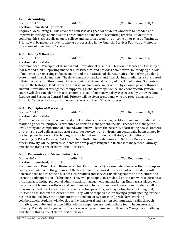| $4720$ : Accounting 2                                                                         |             |                         |
|-----------------------------------------------------------------------------------------------|-------------|-------------------------|
| $\sqrt{G}$ Grades: 11-12                                                                      | Credits: 10 | UC/CSU Requirement: N/A |
| Location: Homestead, Lynbrook                                                                 |             |                         |
| Required: Accounting 1. This advanced course is designed for students who want to broaden and |             |                         |

improve knowledge about business procedures and the use of accounting records. Students that complete this class usually go on to college and major in accounting or some other phase of business. Priority will be given to students who are progressing in the Financial Services Pathway and choose this as one of their "First 6" classes.

#### **4860: Money & Banking**

| <b>ROOD</b> : PIONCY & DUMANG |          |                     |
|-------------------------------|----------|---------------------|
| Grades:<br>11-12              | Credits: | /CSU Requirement: g |
| Location: Monta Vista         |          |                     |

Recommended: Principles of Business and International Business. This course focuses on the study of markets and their supporting financial infrastructure, and provides a framework for studying the role of money in our emerging global economy and the institutional characteristics of underlying banking systems and financial markets. The development of markets and financial intermediaries is considered within the context of the commercial, economic and financial history of the United States. Students will explore the history of trade from the autarky and mercantilism practiced by colonial powers through current international arrangements supporting global interdependence and economic integration. This course will also consider the macroeconomic issues of monetary policy as executed by the US Federal Reserve and European Central Bank. Priority will be given to students who are progressing in the Financial Services Pathway and choose this as one of their "First 6" classes.

#### **4870: Principles of Marketing**

| Grades: 10-12                                                                                          | Credits: 10                                                                                            | UC/CSU Requirement: N/A |  |
|--------------------------------------------------------------------------------------------------------|--------------------------------------------------------------------------------------------------------|-------------------------|--|
| Location: Monta Vista                                                                                  |                                                                                                        |                         |  |
|                                                                                                        | This course focuses on the science and art of building and managing profitable customer relationships. |                         |  |
|                                                                                                        | Marketing's central purpose is presented as demand management, the skills needed to manage the         |                         |  |
| level, timing and composition of demand. Students will learn the necessity of attracting new customers |                                                                                                        |                         |  |
| by promising and delivering superior customer service in an environment continually being shaped by    |                                                                                                        |                         |  |
| the two powerful forces of technology and globalization. Students will study contributions to          |                                                                                                        |                         |  |
| marketing by Peter Drucker, Ted Levitt, Philip Kotler, Regis McKenna and Geoffrey Moore, among         |                                                                                                        |                         |  |
| others. Priority will be given to students who are progressing in the Business Management Pathway      |                                                                                                        |                         |  |
| and choose this as one of their "First 6" classes.                                                     |                                                                                                        |                         |  |
|                                                                                                        |                                                                                                        |                         |  |

| 4880: Economics and Virtual Enterprise             |                                                                                                                                                                                                                                                                                                                                                                                                                                                                                                                                                                                                                                                                                                                                                                                                                                                                                                                                                                                                                                                                                                                                                                                                                                                                                   |                       |
|----------------------------------------------------|-----------------------------------------------------------------------------------------------------------------------------------------------------------------------------------------------------------------------------------------------------------------------------------------------------------------------------------------------------------------------------------------------------------------------------------------------------------------------------------------------------------------------------------------------------------------------------------------------------------------------------------------------------------------------------------------------------------------------------------------------------------------------------------------------------------------------------------------------------------------------------------------------------------------------------------------------------------------------------------------------------------------------------------------------------------------------------------------------------------------------------------------------------------------------------------------------------------------------------------------------------------------------------------|-----------------------|
| Grades: 9-12                                       | Credits: 10                                                                                                                                                                                                                                                                                                                                                                                                                                                                                                                                                                                                                                                                                                                                                                                                                                                                                                                                                                                                                                                                                                                                                                                                                                                                       | UC/CSU Requirement: g |
| Location: Homestead, Lynbrook                      |                                                                                                                                                                                                                                                                                                                                                                                                                                                                                                                                                                                                                                                                                                                                                                                                                                                                                                                                                                                                                                                                                                                                                                                                                                                                                   |                       |
|                                                    | Recommended: Principles of Business. Virtual Enterprise (VE) is a simulated business that is set up and<br>run by students. With the guidance of the teacher and real-world business partners, students will<br>determine the nature of their business, its products and services, its management and structures and<br>learn the daily operation of a business. They will participate in simulated on-the-job work experiences,<br>including accounting, personnel administration, management and marketing. Emphasis is placed on<br>using current business software and communication tools for business transactions. Students will run<br>their own virtual checking account, receive a virtual paycheck, and pay virtual bills including rent,<br>utilities and miscellaneous expenditures. They will be responsible for having a grand opening for their<br>business and will have the opportunity to attend one of two (or more) trade fairs. Working<br>collaboratively, students will develop and enhance oral and written communication skills through<br>initiative, creativity and responsibility. All class experiences simulate those found in business and<br>industry. Priority will be given to students who are progressing in the Business Management Pathway |                       |
| and choose this as one of their "First 6" classes. |                                                                                                                                                                                                                                                                                                                                                                                                                                                                                                                                                                                                                                                                                                                                                                                                                                                                                                                                                                                                                                                                                                                                                                                                                                                                                   |                       |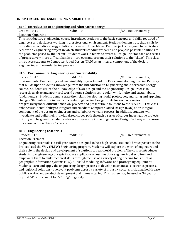#### **INDUSTRY SECTOR: ENGINEERING & ARCHITECTURE**

#### **8150: Introduction to Engineering and Alternative Energy**

| 0150. Introduction to Engineering and Alternative Energy                                                  |                                                                                                       |                       |  |
|-----------------------------------------------------------------------------------------------------------|-------------------------------------------------------------------------------------------------------|-----------------------|--|
| Grades: 10-12                                                                                             | Credits: 10                                                                                           | UC/CSU Requirement: g |  |
| Location: Cupertino                                                                                       |                                                                                                       |                       |  |
|                                                                                                           | This introductory engineering course introduces students to the basic concepts and skills required of |                       |  |
|                                                                                                           | engineers and designers working in a professional environment. Students demonstrate their skills by   |                       |  |
| providing alternative energy solutions to real world problems. Each project is designed to replicate a    |                                                                                                       |                       |  |
| real-world engineering project in which students conduct research and propose possible solutions to       |                                                                                                       |                       |  |
| the problems posed by the "client". Students work in teams to create a Design Brief for each of a series  |                                                                                                       |                       |  |
| of progressively more difficult hands-on-projects and present their solutions to the "client". This class |                                                                                                       |                       |  |
|                                                                                                           | introduces students to Computer-Aided Design (CAD) as an integral component of the design,            |                       |  |
| engineering and manufacturing process.                                                                    |                                                                                                       |                       |  |

#### **8160: Environmental Engineering and Sustainability**

Grades: 10-12 | Credits: 10 | UC/CSU Requirement: g Environmental Engineering and Sustainability is year two of the Environmental Engineering Pathway that builds upon student's knowledge from the Introduction to Engineering and Alternative Energy course. Students utilize their knowledge of CAD design and the Engineering Design Process to research, analyze and apply real world energy solutions using solar, wind, hydro and sustainability fundamentals. Students demonstrate their skills developing model prototypes, analyzing and applying changes. Students work in teams to create Engineering Design Briefs for each of a series of progressively more difficult hands-on-projects and present their solutions to the "client". This class enhances students' ability to integrate intermediate Computer-Aided Design (CAD) as an integral component of the design, engineering and collaborative team process. In addition, students will investigate and build their individualized career path through a series of career investigative projects. Priority will be given to students who are progressing in the Engineering Design Pathway and choose this as one of their "First 6" classes.

#### **8180: Engineering Essentials**

| Grades: 9-12                                                                                               | Credits: 10                                                                                               | UC/CSU Requirement: d |  |
|------------------------------------------------------------------------------------------------------------|-----------------------------------------------------------------------------------------------------------|-----------------------|--|
| Location: Fremont                                                                                          |                                                                                                           |                       |  |
|                                                                                                            | Engineering Essentials is a full-year course designed to be a high school student's first exposure to the |                       |  |
|                                                                                                            | Project Lead the Way (PLTW) Engineering program. Students will explore the work of engineers and          |                       |  |
| their role in the design and development of solutions to real-world problems. The course introduces        |                                                                                                           |                       |  |
| students to engineering concepts that are applicable across multiple engineering disciplines and           |                                                                                                           |                       |  |
| empowers them to build technical skills through the use of a variety of engineering tools, such as         |                                                                                                           |                       |  |
| geographic information systems (GIS), 3-D solid modeling software, and prototyping equipment.              |                                                                                                           |                       |  |
| Students learn and apply the engineering design process to develop mechanical, electronic, process,        |                                                                                                           |                       |  |
| and logistical solutions to relevant problems across a variety of industry sectors, including health care, |                                                                                                           |                       |  |
| public service, and product development and manufacturing. This course may be used as $3rd$ year or        |                                                                                                           |                       |  |
| beyond "d" requirement for "a" to "g" eligibility.                                                         |                                                                                                           |                       |  |
|                                                                                                            |                                                                                                           |                       |  |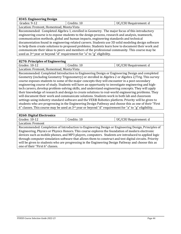| 8345: Engineering Design                                                                           |                                                                                                  |                       |  |
|----------------------------------------------------------------------------------------------------|--------------------------------------------------------------------------------------------------|-----------------------|--|
| Grades: 9-12                                                                                       | Credits: 10                                                                                      | UC/CSU Requirement: d |  |
| Location: Fremont, Homestead, Monta Vista                                                          |                                                                                                  |                       |  |
|                                                                                                    | Recommended: Completed Algebra 1, enrolled in Geometry. The major focus of this introductory     |                       |  |
|                                                                                                    | engineering course is to expose students to the design process, research and analysis, teamwork, |                       |  |
| communication methods, global and human impacts, engineering standards and technical               |                                                                                                  |                       |  |
| documentation found in engineering-related careers. Students use 3D solid modeling design software |                                                                                                  |                       |  |
| to help them create solutions to proposed problems. Students learn how to document their work and  |                                                                                                  |                       |  |
| communicate their ideas to peers and members of the professional community. This course may be     |                                                                                                  |                       |  |
| used as 3 <sup>rd</sup> year or beyond "d" requirement for "a" to "g" eligibility.                 |                                                                                                  |                       |  |
|                                                                                                    |                                                                                                  |                       |  |
| 8270: Principles of Engineering                                                                    |                                                                                                  |                       |  |

| 0270. I HIRTUPIES OF EHEINGERING                                                                    |                                                                                                         |                       |  |
|-----------------------------------------------------------------------------------------------------|---------------------------------------------------------------------------------------------------------|-----------------------|--|
| Grades: 10-12                                                                                       | Credits: 10                                                                                             | UC/CSU Requirement: d |  |
| Location: Fremont, Homestead, Monta Vista                                                           |                                                                                                         |                       |  |
|                                                                                                     | Recommended: Completed Introduction to Engineering Design or Engineering Design and completed           |                       |  |
|                                                                                                     | Geometry (including Geometry Trigonometry) or enrolled in Algebra 2 or Algebra 2/Trig. This survey      |                       |  |
|                                                                                                     | course exposes students to some of the major concepts they will encounter in a post-secondary           |                       |  |
| engineering course of study. Students will have an opportunity to investigate engineering and high- |                                                                                                         |                       |  |
| tech careers, develop problem-solving skills, and understand engineering concepts. They will apply  |                                                                                                         |                       |  |
| their knowledge of research and design to create solutions to real-world engineering problems. They |                                                                                                         |                       |  |
|                                                                                                     | will document their work and communicate solutions. Students work in both lab and classroom             |                       |  |
|                                                                                                     | settings using industry-standard software and the VEX® Robotics platform. Priority will be given to     |                       |  |
|                                                                                                     | students who are progressing in the Engineering Design Pathway and choose this as one of their "First"  |                       |  |
|                                                                                                     | 6" classes. This course may be used as $3rd$ year or beyond "d" requirement for "a" to "g" eligibility. |                       |  |

| 8260: Digital Electronics                                                                              |                                                                                                    |                       |  |
|--------------------------------------------------------------------------------------------------------|----------------------------------------------------------------------------------------------------|-----------------------|--|
| Grades: 10-12                                                                                          | Credits: 10                                                                                        | UC/CSU Requirement: d |  |
| Location: Fremont                                                                                      |                                                                                                    |                       |  |
|                                                                                                        | Recommended: Completion of Introduction to Engineering Design or Engineering Design, Principles of |                       |  |
| Engineering, Physics or Physics Honors. This course explores the foundation of modern electronic       |                                                                                                    |                       |  |
| devices such as mobile phones, and MP3 players, computers. Students are introduced to applied logic    |                                                                                                    |                       |  |
| through computer simulation software that allows them to construct and test digital circuits. Priority |                                                                                                    |                       |  |
| will be given to students who are progressing in the Engineering Design Pathway and choose this as     |                                                                                                    |                       |  |
| one of their "First 6" classes.                                                                        |                                                                                                    |                       |  |
|                                                                                                        |                                                                                                    |                       |  |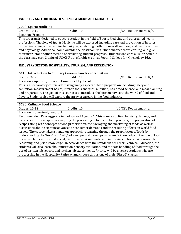#### **INDUSTRY SECTOR: HEALTH SCIENCE & MEDICAL TECHNOLOGY**

#### **7900: Sports Medicine**

| 7, 700. Oports medicine                                                                              |                                                                                                        |                         |
|------------------------------------------------------------------------------------------------------|--------------------------------------------------------------------------------------------------------|-------------------------|
| Grades: 10-12                                                                                        | Credits: 10                                                                                            | UC/CSU Requirement: N/A |
| Location: Fremont                                                                                    |                                                                                                        |                         |
|                                                                                                      | This program is designed to educate student in the field of Sports Medicine and other allied health    |                         |
|                                                                                                      | professions. The field of Sports Medicine will be explored, including care and prevention of injuries, |                         |
|                                                                                                      | protective taping and wrapping techniques, stretching methods, overall wellness, and basic anatomy     |                         |
| and physiology. Additional hours outside the classroom to further enhance their learning, and give   |                                                                                                        |                         |
| their instructor another method of evaluating student progress. Students who earn a "B" or better in |                                                                                                        |                         |
|                                                                                                      | the class may earn 3 units of UC/CSU transferable credit at Foothill College for Kinesiology 16A.      |                         |

#### **INDUSTRY SECTOR: HOSPITALITY, TOURISM, AND RECREATION**

| 5710: Introduction to Culinary Careers: Foods and Nutrition                                              |                                                                                               |                       |  |
|----------------------------------------------------------------------------------------------------------|-----------------------------------------------------------------------------------------------|-----------------------|--|
| Grades: 9-12                                                                                             | Credits: 10<br>UC/CSU Requirement: N/A                                                        |                       |  |
| Location: Cupertino, Fremont, Homestead, Lynbrook                                                        |                                                                                               |                       |  |
|                                                                                                          | This is a preparatory course addressing many aspects of food preparation including safety and |                       |  |
| sanitation, measurement basics, kitchen tools and uses, nutrition, basic food science, and meal planning |                                                                                               |                       |  |
| and preparation. The goal of this course is to introduce the kitchen novice to the world of food and     |                                                                                               |                       |  |
| flavors. Students also will explore the array of careers in the food industry.                           |                                                                                               |                       |  |
|                                                                                                          |                                                                                               |                       |  |
| 5730: Culinary Food Science                                                                              |                                                                                               |                       |  |
| Grades: 10-12                                                                                            | Credits: 10                                                                                   | UC/CSU Requirement: g |  |
| Location: Homestead, Lynbrook                                                                            |                                                                                               |                       |  |

Recommended: Passing grade in Biology and Algebra 1. This course applies chemistry, biology, and basic scientific principles in analyzing the processing of food and food products, the preparation of recipes along with concepts of food preservation, the packaging and marketing of foods as well as discussions about scientific advances or consumer demands and the resulting effects on world food issues. The course takes a hands-on approach to learning through the preparation of foods by understanding the "how" and "why" of a recipe, and develops a student's knowledge of the role of food in respect to its nutritional, social, historical, environmental and industrial contexts using research, reasoning, and prior knowledge. In accordance with the standards of Career Technical Education, the students will also learn about nutrition, sensory evaluation, and the safe handling of food through the use of written lab reports and kitchen lab experiments. Priority will be given to students who are progressing in the Hospitality Pathway and choose this as one of their "First 6" classes.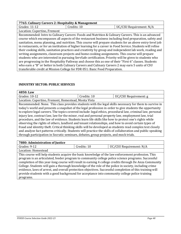#### **7765: Culinary Careers 2: Hospitality & Management**

Grades: 11-12 **Credits: 10** Credits: 10 **UC/CSU Requirement: N/A** Location: Cupertino, Fremont Recommended: Intro to Culinary Careers: Foods and Nutrition & Culinary Careers. This is an advanced course which encompasses all aspects of the restaurant business including food preparation, safety and sanitation, menu planning, and nutrition. This course will prepare students for an above entry-level job in restaurants, or for an institution of higher learning for a career in Food Service. Students will refine their cooking skills, sanitation practices and creativity by group and independent lab work, reading and writing assignments, classroom projects and home cooking assignments. This course will prepare students who are interested in pursuing ServSafe certification. Priority will be given to students who are progressing in the Hospitality Pathway and choose this as one of their "First 6" classes. Students who earn a "B" or better in both Culinary Careers and Culinary Careers 2 may earn 5 units of CSU transferable credit at Mission College for FDR 051: Basic Food Preparation.

#### **INDUSTRY SECTOR: PUBLIC SERVICES**

| 4850: Law                                                                                              |             |                       |
|--------------------------------------------------------------------------------------------------------|-------------|-----------------------|
| Grades: $10-12$                                                                                        | Credits: 10 | UC/CSU Requirement: g |
| Location: Cupertino, Fremont, Homestead, Monta Vista                                                   |             |                       |
| Recommended: None. This class provides students with the legal skills necessary for them to survive in |             |                       |

today's world and presents a snapshot of the legal profession in order to give students the opportunity to explore legal careers. The topics covered include: legal ethics, procedural law, criminal law, personal injury law, contract law, law for the minor, real and personal property law, employment law, trial procedure, and the law of evidence. Students learn life skills like how to protect one's rights while observing the rights of others, landlord and tenant relationships, and how to avoid certain types of fraud and identity theft. Critical thinking skills will be developed as students read complex text closely and analyze fact patterns critically. Students will practice the skills of collaboration and public speaking through participation in Socratic seminars, debates, group projects, and mock trials.

| 7880: Administration of Justice                                                                                                                                                                                                                                                                                                                                                                                               |             |                         |  |
|-------------------------------------------------------------------------------------------------------------------------------------------------------------------------------------------------------------------------------------------------------------------------------------------------------------------------------------------------------------------------------------------------------------------------------|-------------|-------------------------|--|
| Grades: 9-12                                                                                                                                                                                                                                                                                                                                                                                                                  | Credits: 10 | UC/CSU Requirement: N/A |  |
| Location: Homestead                                                                                                                                                                                                                                                                                                                                                                                                           |             |                         |  |
| This course will help students acquire the basic knowledge of the law enforcement profession. This<br>program is an articulated, feeder program to community college police science programs. Successful                                                                                                                                                                                                                      |             |                         |  |
| completion of this year-long course will result in earning 4 college credits through De Anza Community<br>College. Students will gain a thorough knowledge of the role of the police in society, including crime<br>evidence, laws of arrest, and overall protection objectives. Successful completion of this training will<br>provide students with a good background for acceptance into community college police training |             |                         |  |
| programs.                                                                                                                                                                                                                                                                                                                                                                                                                     |             |                         |  |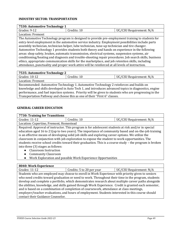#### **INDUSTRY SECTOR: TRANSPORTATION**

| 7530: Automotive Technology 1                                                                          |                                                                                                   |                         |  |
|--------------------------------------------------------------------------------------------------------|---------------------------------------------------------------------------------------------------|-------------------------|--|
| Grades: 9-12                                                                                           | Credits: 10                                                                                       | UC/CSU Requirement: N/A |  |
| Location: Fremont                                                                                      |                                                                                                   |                         |  |
|                                                                                                        | The Automotive Technology program is designed to provide pre-employment training to students for  |                         |  |
|                                                                                                        | entry-level employment in the automotive service industry. Employment possibilities include parts |                         |  |
| assembly technician, technician helper, lube technician, tune-up technician and tire changer.          |                                                                                                   |                         |  |
| Automotive Technology 1 provides students both theory and hands on experience in the following         |                                                                                                   |                         |  |
| areas: shop safety, brakes, automatic transmission, electrical systems, suspension systems, air        |                                                                                                   |                         |  |
| conditioning/heating and diagnosis and trouble-shooting repair procedures. Job search skills, business |                                                                                                   |                         |  |
| ethics, appropriate communication skills for the marketplace, and job retention skills, including      |                                                                                                   |                         |  |
|                                                                                                        | attendance, punctuality and proper work attire will be reinforced at all levels of instruction.   |                         |  |

#### **7535: Automotive Technology 2**

| ___<br>___<br>ື    |          |                       |
|--------------------|----------|-----------------------|
| Grades:<br>$10-1.$ | Credits: | /CSU Requirement: N/A |
| Location: Fremont  |          |                       |

Recommended: Automotive Technology 1. Automotive Technology 2 reinforces and builds on knowledge and skills developed in Auto Tech 1, and introduces advanced topics in diagnostics, engine performance, and fuel injection systems. Priority will be given to students who are progressing in the Transportation Pathway and choose this as one of their "First 6" classes.

#### **GENERAL CAREER EDUCATION**

| 7730: Training for Transitions |                      |
|--------------------------------|----------------------|
| $C_{\text{radas}} 11.12$       | $\Gamma$ Cradite: 10 |

| Grades: 11-12                           | Credits: 10                                                                                             | UC/CSU Requirement: N/A |
|-----------------------------------------|---------------------------------------------------------------------------------------------------------|-------------------------|
| Location: Cupertino, Fremont, Homestead |                                                                                                         |                         |
|                                         | Required: Approval of instructor. This program is for adolescent students at risk and/or in special     |                         |
|                                         | education aged 16 to 21 (up to two years). The importance of community based and on-the-job training    |                         |
|                                         | is an effective means of developing solid job skills and exploring career options. We utilize the       |                         |
|                                         | classroom in conjunction with job exploration to expose the student to work opportunities. The          |                         |
|                                         | students receive school credits toward their graduation. This is a course study – the program is broken |                         |
| into three (3) stages as follows:       |                                                                                                         |                         |

- Classroom Instruction
- Community Classroom
- Work Exploration and possible Work Experience Opportunities

#### **8040: Work Experience**

Grades: 11-12 Credits: 5 to 20 per year UC/CSU Requirement: N/A Students who are employed may choose to enroll in Work Experience with priority given to seniors who need credits toward graduation or need to work. Throughout their time in the program, students develop and complete a portfolio, which demonstrates research about multiple career paths alongside the abilities, knowledge, and skills gained through Work Experience. Credit is granted each semester, and is based on a combination of completion of coursework, attendance at class meetings, employer/teacher evaluations, and hours of employment. Students interested in this course should contact their Guidance Counselor.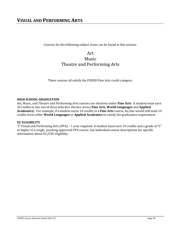<span id="page-49-0"></span>Courses for the following subject areas can be found in this section:

# Art Music Theatre and Performing Arts

These courses all satisfy the FUHSD Fine Arts credit category.

#### **HIGH SCHOOL GRADUATION**

Art, Music, and Theatre and Performing Arts courses are electives under **Fine Arts**. A student must earn 10 credits in two out of three selective elective areas (**Fine Arts**, **World Languages** and **Applied Academics**). For example, if a student earns 10 credits in a **Fine Arts** course, he/she would still need 10 credits from either **World Languages** or **Applied Academics** to satisfy the graduation requirement.

#### **UC ELIGIBILITY**

"f" Visual and Performing Arts (VPA) – 1 year required. A student must earn 10 credits and a grade of "C" or higher in a single, yearlong approved VPA course. See individual course descriptions for specific information about UC/CSU eligibility.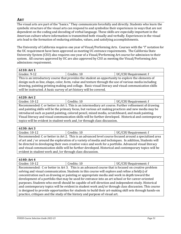#### <span id="page-50-0"></span>**ART**

The visual arts are part of the "basics." They communicate forcefully and directly. Students who learn the symbolic structure of the visual arts can respond to and symbolize their experiences in ways that are not dependent on the coding and decoding of verbal language. These skills are especially important in the American culture where information is transmitted both visually and verbally. Experiences in the visual arts lead to the formation of enduring attitudes, values, and satisfying accomplishments.

The University of California requires one year of Visual/Performing Arts. Courses with the "f" notation for the UC requirement have been approved as meeting UC entrance requirements. The California State University System (CSU) also requires one year of a Visual/Performing Art course for admission to their system. All courses approved by UC are also approved by CSU as meeting the Visual/Performing Arts admissions requirement.

#### **6110: Art 1**

| Grades: 9-12                                                                                          | Credits: 10 | UC/CSU Requirement: f |
|-------------------------------------------------------------------------------------------------------|-------------|-----------------------|
| This is an introductory course that provides the student an opportunity to explore the elements of    |             |                       |
| design such as line, shape, color, form, value and texture through the use of various media including |             |                       |
| drawing, painting printing making and collage. Basic visual literacy and visual communication skills  |             |                       |
| will be instructed. A basic survey of art history will be covered.                                    |             |                       |

| 6120: Art 2                                                                                            |                                                                                                      |                       |
|--------------------------------------------------------------------------------------------------------|------------------------------------------------------------------------------------------------------|-----------------------|
| Grades: 10-12                                                                                          | Credits: 10                                                                                          | UC/CSU Requirement: f |
|                                                                                                        | Recommended: C or better in Art 1. This is an intermediary art course. Further refinement of drawing |                       |
| and painting skills will be the primary focus, but various art making practices and new media may be   |                                                                                                      |                       |
| introduced such as pastel painting, colored pencil, mixed media, scratchboard, and mask painting.      |                                                                                                      |                       |
| Visual literacy and visual communication skills will be further developed. Historical and contemporary |                                                                                                      |                       |
| topics will be evident in student work and /or through class discussion.                               |                                                                                                      |                       |

**6130: Art 3**

| arades.<br>I ()-<br>∸<br>____ | ᅶᄔ<br>. cur     | ` Requirement: 1<br>س |
|-------------------------------|-----------------|-----------------------|
|                               | $-$<br>________ | __________            |

Recommended: C or better in Art 2. This is an advanced level course focused around a specialized area of art and / or around the exploration of a variety of media and techniques. In addition, Students will be directed in developing their own creative voice and work for a portfolio. Advanced visual literacy and visual communication skills will be further developed. Historical and contemporary topics will be evident in student work and /or through class discussion.

#### **6140: Art 4**

Grades: 10-12 Credits: 10 UC/CSU Requirement: f Recommended: C or better in Art 3. This is an advanced course that is focused on creative problem solving and visual communication. Students in this course will explore and refine a field(s) of concentration such as drawing or painting or appropriate media and work in depth toward the development of a portfolio that may be used for entrance into an art school or for career-oriented purposes. Students who enroll should be capable of self-direction and independent study. Historical and contemporary topics will be evident in student work and/or through class discussion. This course is designed to provide opportunities for students to build their art-making skill sets through hands-on practice, critiques and the study of the history and purpose of visual art.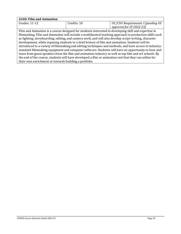| <b>6160: Film and Animation</b>                                                                        |             |                                                                                                        |
|--------------------------------------------------------------------------------------------------------|-------------|--------------------------------------------------------------------------------------------------------|
| Grades: 11-12                                                                                          | Credits: 10 | UC/CSU Requirement: f (pending UC                                                                      |
|                                                                                                        |             | approval for SY 2022-23)                                                                               |
| Film and Animation is a course designed for students interested in developing skill and expertise in   |             |                                                                                                        |
|                                                                                                        |             | filmmaking. Film and Animation will include a multifaceted teaching approach to production skills such |
| as lighting, storyboarding, editing, and camera work, and will also develop script-writing, character  |             |                                                                                                        |
| development, while exposing students to a brief history of film and animation. Students will be        |             |                                                                                                        |
| introduced to a variety of filmmaking and editing techniques and methods, and have access to industry- |             |                                                                                                        |
| standard filmmaking equipment and computer software. Students will have an opportunity to hear and     |             |                                                                                                        |
| learn from guest speakers from the film and animation industry as well as top film and art schools. By |             |                                                                                                        |
| the end of the course, students will have developed a film or animation reel that they can utilize for |             |                                                                                                        |
| their own enrichment or towards building a portfolio.                                                  |             |                                                                                                        |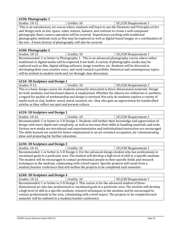#### **6190: Photography 1** Grades: 10-12 **Credits: 10** Credits: 10 **UC/CSU Requirement: f**

This is an introductory art course where students will learn to use the Elements and Principles of Art and Design such as line, space, value, texture, balance, and contrast to create a well-composed photograph. Basic camera operation will be covered. Experiences working with traditional photographic methods such as film may be explored as well as digital-based images or a combination of the two. A basic history of photography will also be covered.

#### **6200: Photography 2**

Grades: 10-12 Credits: 10 UC/CSU Requirement: f Recommended: C or better in Photography 1. This is an advanced photography course where either traditional or digital media will be explored if not both. A variety of photographic media may be explored such as film, digital editing software, image transfers, etc. Students will be directed in developing their own creative voice, and work toward a portfolio. Historical and contemporary topics will be evident in student work and /or through class discussion.

#### **6210: 3D Sculpture and Design 1**

Grades: 9-12 Credits: 10 UC/CSU Requirement: f This is a basic design course for students primarily interested in three-dimensional materials. Design for both aesthetic and functional objects is emphasized. Whether the objects are utilitarian or aesthetic, a regard for quality of workmanship and design is stressed. Not only do students explore a variety of media such as clay, leather, wood, metal, enamels, etc., they also gain an appreciation for handcrafted articles as they reflect our past and present culture.

#### **6220: 3D Sculpture and Design 2**

Grades: 10-12 **Credits: 10** Credits: 10 **UC/CSU Requirement: f** Recommended: C or better in 3-D Design 1. Students will further their knowledge and appreciation of design with more depth and complexity, as well as increase their skills in handling materials and tools. Various new media are introduced and experimentation and individualized instruction are encouraged. The skills learned are useful for future employment in an art-oriented occupation, for communicating ideas and preparing for further education.

| 6230: 3D Sculpture and Design 3                                                                             |             |                       |  |
|-------------------------------------------------------------------------------------------------------------|-------------|-----------------------|--|
| Grades: 10-12                                                                                               | Credits: 10 | UC/CSU Requirement: f |  |
| Recommended: C or better in 3-D Design 2. For the advanced design student who has professional or           |             |                       |  |
| vocational goals in a particular area. The student will develop a high level of skill in a specific medium. |             |                       |  |
| The student will be encouraged to contact professional people in their specific fields and research         |             |                       |  |
| techniques in the medium, culminating with a brief report. Specific projects will result from a             |             |                       |  |
| student/teacher conference that will outline the projects to be completed each semester.                    |             |                       |  |

#### **6240: 3D Sculpture and Design 4** Grades: 10-12 **Credits: 10** Credits: 10 **UC/CSU Requirement: f** Recommended: C or better in 3-D Design 3. This course is for the advanced student of threedimensional art who has professional or vocational goals in a particular area. The student will develop a high level of skill in a specific medium, research techniques in the medium and be encouraged to contact professionals in the area, culminating with a brief report. The projects to be completed each

semester will be outlined in a student/teacher conference.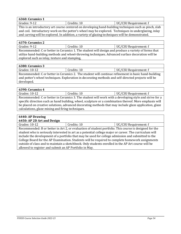| $\vert$ 6360: Ceramics 1 |             |                       |
|--------------------------|-------------|-----------------------|
| Grades: 9-12             | Credits: 10 | UC/CSU Requirement: f |

This is an introductory art course centered on developing hand-building techniques such as pinch, slab and coil. Introductory work on the potter's wheel may be explored. Techniques in underglazing, inlay and carving will be explored. In addition, a variety of glazing techniques will be demonstrated.

| 6370: Ceramics 2                                                                                                                                                                                                                                         |             |                       |
|----------------------------------------------------------------------------------------------------------------------------------------------------------------------------------------------------------------------------------------------------------|-------------|-----------------------|
| Grades: 9-12                                                                                                                                                                                                                                             | Credits: 10 | UC/CSU Requirement: f |
| Recommended: C or better in Ceramics 1. The student will design and produce a variety of forms that<br>utilize hand-building methods and wheel-throwing techniques. Advanced surface decoration will be<br>explored such as inlay, texture and stamping, |             |                       |
|                                                                                                                                                                                                                                                          |             |                       |

#### **6380: Ceramics 3** Grades: 10-12 | Credits: 10 | UC/CSU Requirement: f Recommended: C or better in Ceramics 2. The student will continue refinement in basic hand-building and potter's wheel techniques. Exploration in decorating methods and self-directed projects will be developed.

| 6390: Ceramics 4                                                                                        |             |                       |
|---------------------------------------------------------------------------------------------------------|-------------|-----------------------|
| Grades: 10-12                                                                                           | Credits: 10 | UC/CSU Requirement: f |
| Recommended: C or better in Ceramics 3. The student will work with a developing style and strive for a  |             |                       |
| specific direction such as hand building, wheel, sculpture or a combination thereof. More emphasis will |             |                       |

be placed on creative solutions, advanced decorating methods that may include glaze application, glaze calculations, glaze mixing and firing techniques.

### **6440: AP Drawing**

| 6450: AP 2D Art and Design |  |  |
|----------------------------|--|--|
|                            |  |  |

| Grades: 10-12                                          | Credits: 10                                                                                            | UC/CSU Requirement: f |
|--------------------------------------------------------|--------------------------------------------------------------------------------------------------------|-----------------------|
|                                                        | Recommended: B or better in Art 2, or evaluation of student portfolio. This course is designed for the |                       |
|                                                        | student who is seriously interested in art as a potential college major or career. The curriculum will |                       |
|                                                        | include the development of a portfolio that may be used for college admission and submitted to the     |                       |
|                                                        | College Board for the AP Examination. Students will be required to complete homework assignments       |                       |
|                                                        | outside of class and to maintain a sketchbook. Only students enrolled in the AP Art course will be     |                       |
| allowed to register and submit an AP Portfolio in May. |                                                                                                        |                       |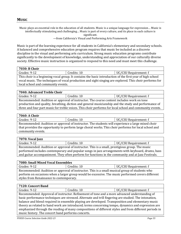<span id="page-54-0"></span>Music plays an essential role in the education of all students. Music is a unique language for expression… Music is intellectually stimulating and challenging… Music is part of every culture, and its place in each culture is significant.

—from California's Visual and Performing Arts Framework

Music is part of the learning experience for all students in California's elementary and secondary schools. A balanced and comprehensive education program requires that music be included as a discrete discipline in the visual and performing arts curriculum. Strong music education programs contribute significantly to the development of knowledge, understanding and appreciation of our culturally diverse society. Effective music instruction is organized to respond to this need and must meet this challenge.

| 7030: B Choir |  |
|---------------|--|
|---------------|--|

| Grades:<br>ч-<br>∸∸ | dredits:<br>τ | Requirement: f<br>von v |
|---------------------|---------------|-------------------------|
|                     |               |                         |

This choir is a beginning vocal group. It contains the basic introduction of the first year of high school vocal music. The techniques of vocal production and sight singing are explored. This choir performs for local school and community events.

| 7040: Advanced Treble Choir                                                                             |             |                       |
|---------------------------------------------------------------------------------------------------------|-------------|-----------------------|
| Grades: 9-12                                                                                            | Credits: 10 | UC/CSU Requirement: f |
| Recommended: Audition or approval of instructor. The course content includes work on tone               |             |                       |
| production and quality, breathing, diction and general musicianship and the study and performance of    |             |                       |
| three and four part music for treble voices. This choir performs for local school and community events. |             |                       |

#### **7060: A Choir**

| Grades: 9-12                                                                                          | Credits: 10 | UC/CSU Requirement: f |
|-------------------------------------------------------------------------------------------------------|-------------|-----------------------|
| Recommended: Audition or approval of instructor. The students will experience a large mixed choir     |             |                       |
| that provides the opportunity to perform large choral works. This choir performs for local school and |             |                       |
| community events.                                                                                     |             |                       |

### **7070: Vocal Jazz**

| Grades: 9-12                                                                                   | Credits: 10 | UC/CSU Requirement: f |
|------------------------------------------------------------------------------------------------|-------------|-----------------------|
| Recommended: Audition or approval of instructor. This is a small, prestigious group. The music |             |                       |

performed includes contemporary and popular songs in jazz arrangements with keyboard, drums, bass and guitar accompaniment. They often perform for functions in the community and at Jazz Festivals.

#### **7080: Small Mixed Vocal Ensembles**

| Grades: 9-12                                                                                      | Credits: 10 | UC/CSU Requirement: f |
|---------------------------------------------------------------------------------------------------|-------------|-----------------------|
| Recommended: Audition or approval of instructor. This is a small musical group of students who    |             |                       |
| perform on occasions when a larger group would be excessive. The music performed covers different |             |                       |
| styles from Renaissance to contemporary.                                                          |             |                       |

#### **7120: Concert Band**

| Grades: 9-12                                       | Credits: 10                                                                                           | UC/CSU Requirement: f |
|----------------------------------------------------|-------------------------------------------------------------------------------------------------------|-----------------------|
|                                                    | Recommended: Approval of instructor. Refinement of tone and a more advanced understanding of          |                       |
|                                                    | basic performance techniques are stressed. Alternate and trill fingering are studied. The intonation, |                       |
|                                                    | balance and blend required in ensemble playing are developed. Transposition and elementary music      |                       |
|                                                    | theory as related to band work are introduced; terms concerning tempo, dynamics and expression are    |                       |
|                                                    | emphasized through the reading of many compositions of different styles and from different periods in |                       |
| music history. The concert band performs concerts. |                                                                                                       |                       |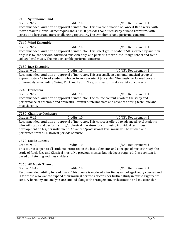| 7130: Symphonic Band |               |                       |
|----------------------|---------------|-----------------------|
| Grades: 9-12         | Credits: 10   | UC/CSU Requirement: f |
| $\sim$               | $\sim$ $\sim$ |                       |

Recommended: Audition or approval of instructor. This is a continuation of Concert Band work, with more detail in individual techniques and skills. It provides continued study of band literature, with stress on a larger and more challenging repertoire. The symphonic band performs concerts.

#### **7140: Wind Ensemble**

| Grades: 9-12                                                                                          | Credits: 10                                                                                          | UC/CSU Requirement: f |
|-------------------------------------------------------------------------------------------------------|------------------------------------------------------------------------------------------------------|-----------------------|
|                                                                                                       | Recommended: Audition or approval of instructor. This select group of about 50 is formed by audition |                       |
| only. It is for the serious, advanced musician only, and performs more difficult high school and some |                                                                                                      |                       |
| college-level music. The wind ensemble performs concerts.                                             |                                                                                                      |                       |

#### **7180: Jazz Ensemble**

| Grades: 9-12                                                                                     | Credits: 10                                                                                     | UC/CSU Requirement: f |
|--------------------------------------------------------------------------------------------------|-------------------------------------------------------------------------------------------------|-----------------------|
|                                                                                                  | Recommended: Audition or approval of instructor. This is a small, instrumental musical group of |                       |
| approximately 12 to 24 students who perform a variety of jazz styles. The music performed covers |                                                                                                 |                       |
|                                                                                                  | different styles including Swing, Rock and Latin. The group performs at a variety of concerts.  |                       |

| 7240: Orchestra                                                                                  |                                                                                            |                       |
|--------------------------------------------------------------------------------------------------|--------------------------------------------------------------------------------------------|-----------------------|
| Grades: 9-12                                                                                     | Credits: 10                                                                                | UC/CSU Requirement: f |
|                                                                                                  | Recommended: Audition or approval of instructor. The course content involves the study and |                       |
| performance of ensemble and orchestra literature, intermediate and advanced string technique and |                                                                                            |                       |
| musicianship.                                                                                    |                                                                                            |                       |

#### **7250: Chamber Orchestra**

| Grades: 9-12                                                                                       | Credits: 10 | UC/CSU Requirement: f |
|----------------------------------------------------------------------------------------------------|-------------|-----------------------|
| Recommended: Audition or approval of instructor. This course is offered to advanced level students |             |                       |
| who will study and perform string/orchestral literature for continuing individual technique        |             |                       |
| development on his/her instrument. Advanced/professional level music will be studied and           |             |                       |
| performed from all historical periods of music.                                                    |             |                       |

#### **7320: Music Genesis**

| Grades: 9-12                                                                                           | Credits: 10 | UC/CSU Requirement: f |
|--------------------------------------------------------------------------------------------------------|-------------|-----------------------|
| This course is open to all students interacted in the basis elements and consents of music through the |             |                       |

This course is open to all students interested in the basic elements and concepts of music through the study of Rock, Jazz and Classical music. No previous musical knowledge is required. Class content is based on listening and music videos.

#### **7350: AP Music Theory**

| 7 JJU. AF MUSIL THEUTY                                                                                 |             |                       |
|--------------------------------------------------------------------------------------------------------|-------------|-----------------------|
| Grades: 10-12                                                                                          | Credits: 10 | UC/CSU Requirement: f |
| Recommended: Ability to read music. This course is modeled after first-year college theory courses and |             |                       |
| is for those who want to expand their musical horizons or consider further study in music. Eighteenth  |             |                       |
| century harmony and analysis are studied along with arrangement, orchestration and musicianship.       |             |                       |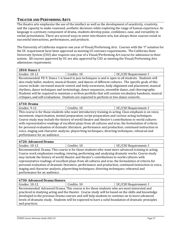#### <span id="page-56-0"></span>**THEATER AND PERFORMING ARTS**

The theatre arts emphasize the use of the intellect as well as the development of sensitivity, creativity, and the capacity to make reasoned, aesthetic decisions while exploring the range of human experience. As language is a primary component of drama, students develop poise, confidence, ease, and versatility in verbal presentation. There are several ways to enter into theatre arts, but always these courses result in successful interactions, performances, and products.

The University of California requires one year of Visual/Performing Arts. Courses with the "f" notation for the UC requirement have been approved as meeting UC entrance requirements. The California State University System (CSU) also requires one year of a Visual/Performing Art course for admission to their system. All courses approved by UC are also approved by CSU as meeting the Visual/Performing Arts admissions requirement.

| 2810: Dance 1                                                                                            |                                                                                                          |                       |
|----------------------------------------------------------------------------------------------------------|----------------------------------------------------------------------------------------------------------|-----------------------|
| Grades: 10-12                                                                                            | Credits: 10                                                                                              | UC/CSU Requirement: f |
|                                                                                                          | Recommended: PE 9. Dance 1 is based in jazz techniques is and is open to all students. Students will     |                       |
|                                                                                                          | also study ballet, modern, musical theater, and dances of different cultures. The specific goals of this |                       |
| course include: increased muscle control and body awareness, body alignment and placement, musical       |                                                                                                          |                       |
|                                                                                                          | rhythms, dance techniques and terminology, dance sequences, ensemble dance, and choreography.            |                       |
| Students will be required to maintain a written portfolio that will contain vocabulary handouts, musical |                                                                                                          |                       |
| critiques, and self-evaluations. Students are expected to perform in two dance concerts.                 |                                                                                                          |                       |
|                                                                                                          |                                                                                                          |                       |

#### **6710: Drama**

| UC/CSU Requirement: f<br>Grades: $9-1$<br>credits: 10 | __ _ _ _ _ _ _ _ _ _ _ _ _ _ |  |
|-------------------------------------------------------|------------------------------|--|
|                                                       |                              |  |

This course is for those students who want introductory training in acting. Class emphasis is on voice, movement, improvisation, mental preparation, script preparation and various acting techniques. Course study may include the history of world theatre and theatre's contributions to world cultures with representative readings of excellent plays from all cultures and eras; the formulation of criteria for personal evaluation of dramatic literature, performance and production; continued instruction in voice, staging and character analysis; playwriting techniques; directing techniques; rehearsal and performance for an audience.

#### **6720: Advanced Drama**

Grades: 10-12 Credits: 10 UC/CSU Requirement: f

Recommended: Drama. This course is for those students who want more advanced training in acting. Course work emphasizes reading, viewing, performing and analyzing dramatic works. Course study may include the history of world theatre and theatre's contributions to world cultures with representative readings of excellent plays from all cultures and eras; the formulation of criteria for personal evaluation of dramatic literature, performance and production; continued instruction in voice, staging and character analysis; playwriting techniques; directing techniques; rehearsal and performance for an audience.

#### **6730: Advanced Drama Honors**

Grades: 10-12 **Credits: 10** Credits: 10 **UC/CSU Requirement: f** 

Recommended: Advanced Drama. This course is for those students who are most interested and practiced in studying acting and the theater. Course study will be based on the skills and knowledge developed in the previous Drama courses and will help students to continue on to more advanced levels of dramatic study. Students will be expected to have a solid foundation of dramatic principles and practices.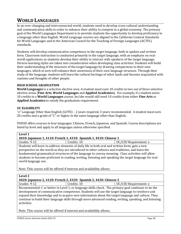# <span id="page-57-0"></span>**WORLD LANGUAGES**

In an ever-changing and interconnected world, students need to develop cross-cultural understanding and communication skills in order to enhance their ability to compete in a global economy. The primary goal of the World Languages Department is to provide students the opportunity to develop proficiency in a language other than English. World Language courses are aligned to the California Content Standards for World Languages and to the American Council for the Teaching of Foreign Languages (ACTFL) standards.

Students will develop communicative competence in the target language, both in spoken and written form. Classroom instruction is conducted primarily in the target language, with an emphasis on realworld applications so students develop their ability to interact with speakers of the target language. Diverse learning styles are taken into consideration when developing class activities. Students will build their understanding of the structure of the target language by drawing comparisons to their own languages, which in turn will enhance their awareness of their own language structure. Through their study of the language, students will learn the cultural heritage of other lands and become acquainted with customs and thoughts of other people.

#### **HIGH SCHOOL GRADUATION**

**World Languages** is a selective elective area. A student must earn 10 credits in two out of three selective elective areas (**Fine Arts**, **World Languages** and **Applied Academics**). For example, if a student earns 10 credits in a **World Languages** course, he/she would still need 10 credits from either **Fine Arts** or **Applied Academics** to satisfy the graduation requirement.

#### **UC ELIGIBILITY**

"e" Language Other than English (LOTE) – 2 years required, 3 years recommended. A student must earn 20 credits and a grade of "C" or higher in the same language other than English.

FUHSD offers courses in four languages: Chinese, French, Japanese, and Spanish. Course descriptions are listed by level and apply to all languages unless otherwise specified.

| Level 1                                                                                                                                                                                                                                                                                                                                                                                                                                   |             |                       |
|-------------------------------------------------------------------------------------------------------------------------------------------------------------------------------------------------------------------------------------------------------------------------------------------------------------------------------------------------------------------------------------------------------------------------------------------|-------------|-----------------------|
| 4010: Japanese 1, 4110: French 1, 4310: Spanish 1, 4410: Chinese 1                                                                                                                                                                                                                                                                                                                                                                        |             |                       |
| Grades: 9-12                                                                                                                                                                                                                                                                                                                                                                                                                              | Credits: 10 | UC/CSU Requirement: e |
| Students will learn to address elements of daily life in both oral and written form, gain a new<br>perspective on the world as they are introduced to other cultures and traditions, and learn the<br>fundamental grammatical structures of the language to convey meaning. Class activities will allow<br>students to become proficient in reading, writing, listening and speaking the target language for real-<br>world language use. |             |                       |

Note: This course will be offered if interest and availability allows.

#### **Level 2**

**4020: Japanese 2, 4120: French 2, 4320: Spanish 2, 4420: Chinese 2** 

Grades: 9-12 Credits: 10 UC/CSU Requirement: e Recommended: C or better in Level 1, or language skills check. The primary goal continues to be the development of communicative competence. Students will use the target language to reinforce and expand their knowledge and to acquire new information about the target language and culture. They continue to build their language skills through more advanced reading, writing, speaking, and listening activities.

Note: This course will be offered if interest and availability allows.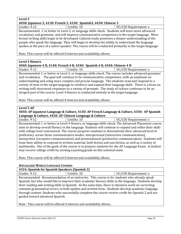#### **Level 3 4030: Japanese 3, 4130: French 3, 4330: Spanish3, 4430: Chinese 3**  Grades: 9-12 Credits: 10 Credits: 10 UC/CSU Requirement: e Recommended: C or better in Level 2, or language skills check. Students will learn more advanced vocabulary and grammar, and will improve communicative competence in the target language. More formal writing skills begin to be developed. Cultural study promotes a deeper understanding of the people who speak the language. They will begin to develop the ability to understand the language spoken at the pace of a native speaker. The course will be conducted primarily in the target language.

Note: This course will be offered if interest and availability allows.

#### **Level 4 Honors**

Note: This course will be offered if interest and availability allows.

#### **Level 5 AP**

#### **4050: AP Japanese Language & Culture, 4150: AP French Language & Culture, 4350: AP Spanish Language & Culture, 4450: AP Chinese Language & Culture**

Grades: 9-12 Credits: 10 UC/CSU Requirement: e Recommended: C or better in Level 4 Honors, or language skills check. The Advanced Placement course aims to develop overall fluency in the language. Students will continue to expand and refine their skills with college level coursework. The course prepares students to demonstrate their advanced level of proficiency across three communicative modes: interpersonal (interactive communication), interpretive (receptive communication) and presentational (productive communication). Students will hone their ability to respond to written material, both fiction and non-fiction, as well as a variety of multimedia. One of the goals of the course is to prepare students for the AP Language Exam. A student may receive college credit by earning a passing grade on this national exam.

Note: This course will be offered if interest and availability allows.

#### **SPECIALIZED WORLD LANGUAGE COURSES**

#### **4324: Spanish for Spanish Speakers (Spanish 2)**

| $10 = 11$ openhom for openhom openhore (openhom = ) |             |                     |
|-----------------------------------------------------|-------------|---------------------|
| Grades: 9-1                                         | Credits: 10 | /CSU Requirement: e |
|                                                     |             |                     |

Recommended: Recommendation of an instructor. This course is for students who already speak Spanish, but who would like to improve their academic literacy skills in the language. Students develop their reading and writing skills in Spanish. At the same time, there is intensive work on correcting common grammatical errors, in both spoken and written form. Students develop academic language through content. Students who successfully complete the course receive credit for Spanish 2 and are guided toward advanced Spanish.

Note: This course will be offered if interest and availability allows.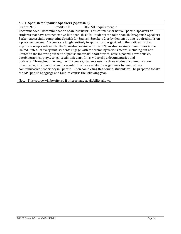#### **4334: Spanish for Spanish Speakers (Spanish 3)**

Grades: 9-12 | Credits: 10 | UC/CSU Requirement: e Recommended: Recommendation of an instructor. This course is for native Spanish-speakers or students that have attained native-like Spanish skills. Students can take Spanish for Spanish-Speakers 3 after successfully completing Spanish for Spanish-Speakers 2 or by demonstrating required skills on a placement exam. The course is taught entirely in Spanish and organized in thematic units that explore concepts relevant to the Spanish-speaking world and Spanish-speaking communities in the United States. In every unit, students engage with the theme by various means, including but not limited to the following authentic Spanish materials: short stories, novels, poems, news articles, autobiographies, plays, songs, testimonies, art, films, video clips, documentaries and podcasts. Throughout the length of the course, students use the three modes of communication: interpretive, interpersonal and presentational in a variety of assignments to demonstrate communicative proficiency in Spanish. Upon completing this course, students will be prepared to take the AP Spanish Language and Culture course the following year.

Note: This course will be offered if interest and availability allows.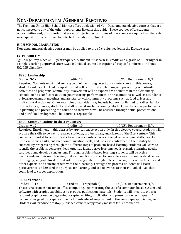# <span id="page-60-0"></span>**NON-DEPARTMENTAL/GENERAL ELECTIVES**

The Fremont Union High School District offers a selection of Non-Departmental elective courses that are not connected to any of the other departments listed in this guide. These courses offer students opportunities and/or supports that are not subject-specific. Some of these courses require that students meet specific criteria or must be selected to enable enrollment.

#### **HIGH SCHOOL GRADUATION**

Non-departmental elective courses may be applied to the 60 credits needed in the Elective area.

#### **UC ELIGIBILITY**

"g" College Prep Elective – 1 year required. A student must earn 10 credits and a grade of "C" or higher in a single, yearlong approved course. See individual course descriptions for specific information about UC/CSU eligibility.

| 8290: Leadership                                                                                           |                                                                                                          |                         |
|------------------------------------------------------------------------------------------------------------|----------------------------------------------------------------------------------------------------------|-------------------------|
| Grades: 9-12                                                                                               | Credits: 10                                                                                              | UC/CSU Requirement: N/A |
|                                                                                                            | Required: Students must hold some type of office through elections or interviews. In this course,        |                         |
|                                                                                                            | students will develop leadership skills that will be utilized in planning and presenting schoolwide      |                         |
|                                                                                                            | activities and programs. Community involvement will be expected via activities in the elementary         |                         |
| schools such as conflict resolution, peer tutoring, performances, or presentations, as well as attendance  |                                                                                                          |                         |
| at local government meetings and assistance with community programs such as food drives and                |                                                                                                          |                         |
| multicultural activities. Other examples of activities may include but are not limited to: rallies, lunch- |                                                                                                          |                         |
|                                                                                                            | time activities, dances, student and staff recognition, homecoming, Students will be active participants |                         |
| in planning and presenting the course and their work will be assessed through actual presentations         |                                                                                                          |                         |
| and portfolio development. This course is repeatable.                                                      |                                                                                                          |                         |

#### **8300: Communications in the 21st Century**

Grades: 9-12 **Credits: 10** Credits: 10 **UC/CSU Requirement: N/A** Required: Enrollment in this class is by application/selection only. In this elective course, students will acquire the skills to be well-prepared students, professionals, and citizens of the 21st century. This course is intended to help students to access core subject areas, strengthen academic skills, develop problem solving skills, enhance communication skills, and increase confidence in their ability to succeed. By progressing through the different steps of problem-based learning, students will learn to identify the problem, generate ideas, organize ideas, derive learning needs, organize learning needs, test ideas, and develop conclusions. Through problem-based learning, students will be active participants in their own learning, make connections to specific, real-life scenarios, understand issues thoroughly, set goals for different solutions, negotiate through different views, interact with peers and other experts; and educate others with their learning. Through this process, students will learn perseverance, understand the purpose for learning, and see relevance to their individual lives that could lead to career exploration.

#### **8380: Yearbook**

Grades: 10-12 **Credits: 10 (repeatable)** UC/CSU Requirement: N/A This course is an expansion of office computing, incorporating the use of a computer-based system and software with graphic capabilities to produce publication materials. Students will integrate typeset text and graphics on the page using accepted writing, publication and presentation techniques. This course is designed to prepare students for entry-level employment in the newspaper-publishing field. Students will produce desktop-published camera/copy ready masters for reproduction.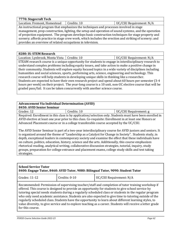**7770: Stagecraft Tech** Location: Fremont, Homestead | Credits: 10 | UC/CSU Requirement: N/A

An instructional program that emphasizes the techniques and processes involved in stage management, prop construction, lighting, the setup and operation of sound systems, and the operation of projection equipment. The program develops basic construction techniques for stage property and scenery; affords practice in stage crew work, which includes the erection and striking of scenery; and provides an overview of related occupations in television.

#### **8280: IS: STEM Research**

Location: Lynbrook, Monta Vista | Credits: 10  $\vert$  UC/CSU Requirement: N/A

STEAM research course is a unique opportunity for students to engage in interdisciplinary research to understand complex problems including equity issues, and take action to make a positive change in their community. Students will explore equity focused topics in a wide variety of disciplines including humanities and social sciences, sports, performing arts, science, engineering and technology. This research course will help students in developing unique skills in thinking like a researcher. Students are expected to have their own research project and spend about 60 hours per semester (3-4 hours per week) on their project. The year-long course is a 10 unit, non-UC elective course that will be graded pass/fail. It can be taken concurrently with another science course.

## **Advancement Via Individual Determination (AVID)**

**8450: AVID Senior Seminar**

Grades: 12 Credits: 10 UC/CSU Requirement: g Required: Enrollment in this class is by application/selection only. Students must have been enrolled in AVID elective at least one year prior to this class. Co-requisite: Enrollment in at least one Honors or Advanced Placement course or in a college transferable course accepted by the UC/CSU.

The AVID Senior Seminar is part of a two-year interdisciplinary course for AVID juniors and seniors. It is organized around the theme of "Leadership as a Catalyst for Change in Society". Students study, in depth, exceptional leaders in contemporary society and examine the effect that these individuals have on culture, politics, education, history, science and the arts. Additionally, this course emphasizes rhetorical reading, analytical writing, collaborative discussion strategies, tutorial, inquiry, study groups, preparation for college entrance and placement exams, college study skills and test taking strategies.

| <b>School Service Tutor</b><br>8400: Engage Tutor, 8460: AVID Tutor, 9080: Bilingual Tutor, 9090: Student Tutor                                                                                                                                                                                                                                                                                                                                                                                                                                                                                                                                                     |               |                         |
|---------------------------------------------------------------------------------------------------------------------------------------------------------------------------------------------------------------------------------------------------------------------------------------------------------------------------------------------------------------------------------------------------------------------------------------------------------------------------------------------------------------------------------------------------------------------------------------------------------------------------------------------------------------------|---------------|-------------------------|
| Grades: 11-12                                                                                                                                                                                                                                                                                                                                                                                                                                                                                                                                                                                                                                                       | Credits: 0-10 | UC/CSU Requirement: N/A |
| Recommended: Permission of supervising teacher/staff and completion of tutor training workshop if<br>offered. This course is designed to provide an opportunity for students to give school service by<br>tutoring special needs students during a regularly scheduled class or students in the regular program<br>who only need academic assistance. Students are also expected to give time to tutoring outside of the<br>regularly scheduled class. Students have the opportunity to learn about different learning styles, to<br>value diversity, to give service and to explore teaching as a career. Students will receive a letter grade<br>for this course. |               |                         |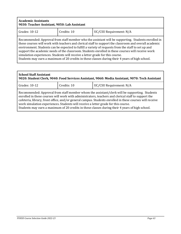| <b>Academic Assistants</b><br>9030: Teacher Assistant, 9050: Lab Assistant                                                                                                                                                                                                                                                                                                                                                                                                                                                                                                                                   |  |  |
|--------------------------------------------------------------------------------------------------------------------------------------------------------------------------------------------------------------------------------------------------------------------------------------------------------------------------------------------------------------------------------------------------------------------------------------------------------------------------------------------------------------------------------------------------------------------------------------------------------------|--|--|
| Grades: 10-12<br>Credits: 10<br>UC/CSU Requirement: N/A                                                                                                                                                                                                                                                                                                                                                                                                                                                                                                                                                      |  |  |
| Recommended: Approval from staff member who the assistant will be supporting. Students enrolled in<br>these courses will work with teachers and clerical staff to support the classroom and overall academic<br>environment. Students can be expected to fulfill a variety of requests from the staff to set up and<br>support the academic needs of the classroom. Students enrolled in these courses will receive work<br>simulation experiences. Students will receive a letter grade for this course.<br>Students may earn a maximum of 20 credits in these classes during their 4 years of high school. |  |  |

| <b>School Staff Assistant</b><br>9020: Student Clerk, 9040: Food Services Assistant, 9060: Media Assistant, 9070: Tech Assistant                                                                                                                                                                                                                                                                                                                                                                          |             |                         |
|-----------------------------------------------------------------------------------------------------------------------------------------------------------------------------------------------------------------------------------------------------------------------------------------------------------------------------------------------------------------------------------------------------------------------------------------------------------------------------------------------------------|-------------|-------------------------|
| Grades: 10-12                                                                                                                                                                                                                                                                                                                                                                                                                                                                                             | Credits: 10 | UC/CSU Requirement: N/A |
| Recommended: Approval from staff member whom the assistant/clerk will be supporting. Students<br>enrolled in these courses will work with administrators, teachers and clerical staff to support the<br>cafeteria, library, front office, and/or general campus. Students enrolled in these courses will receive<br>work simulation experiences. Students will receive a letter grade for this course.<br>Students may earn a maximum of 20 credits in these classes during their 4 years of high school. |             |                         |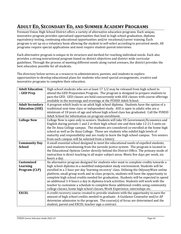# <span id="page-63-0"></span>**ADULT ED, SECONDARY ED, AND SUMMER ACADEMY PROGRAMS**

Fremont Union High School District offers a variety of alternative education programs. Each unique, innovative program provides specialized opportunities that lead to high school graduation, diploma equivalency testing, continuing educational opportunities and/or vocational/career training. Each program is set up on a voluntary basis allowing the student to self-select according to perceived needs. All programs require special applications and most require student-parent interviews.

Each alternative program is unique in its structure and method for reaching individual needs. Each also provides a strong instructional program based on district objectives and district wide curricular guidelines. Through the process of meeting different needs along varied avenues, the district provides the best education possible for all students.

The directory below serves as a resource to administrators, parents, and students to explore opportunities to develop educational plans for students who need special arrangements, creative and innovative programs to complete their education.

| <b>Adult Education</b> | High school students who are at least 17 1/2 may be released from high school to          |
|------------------------|-------------------------------------------------------------------------------------------|
| - GED Prep             | attend the GED Preparation Program. The program is designed to prepare students to        |
|                        | pass the GED. GED classes are held concurrently with ASE classes with course offerings    |
|                        | available in the mornings and evenings at the FUHSD Adult School.                         |
| <b>Adult Secondary</b> | A program which leads to an adult high school diploma. Students have the option of a      |
| <b>Education (ASE)</b> | traditional seat-time class or independent study. ASE is open to adults who are a         |
|                        | minimum of 18 years of age and whose high school class has graduated. Call the FUHSD      |
|                        | Adult School for information on program enrollment.                                       |
| <b>College Now</b>     | College Now is open only to seniors. Students will take US Government/Economics and       |
|                        | English during periods 1 and 2 at their high school site and then take 12-21.5 units on   |
|                        | the De Anza College campus. The students are considered co-enrolled at the home high      |
|                        | school as well as De Anza College. These are students who exhibit high levels of          |
|                        | maturity and responsibility and are ready to leave the high school campus. Ten seniors    |
|                        | from each campus will be selected from a lottery.                                         |
| <b>Community Day</b>   | A small essential school designed to meet the educational needs of expelled students,     |
| <b>School</b>          | and students transitioning from the juvenile justice system. The program is located in    |
|                        | the Educational Options Center directly behind the District Office. The primary mode of   |
|                        | instruction is direct teaching in all major subject areas. Meets five days per week, six  |
|                        | hours a day.                                                                              |
| <b>Customized</b>      | An alternative program designed for students who want to complete credits towards a       |
| <b>Learning</b>        | high school diploma in a modified independent study environment. Students will be         |
| Program (CLP)          | enrolled in a 2 hour per day 'learning recovery' class. Utilizing the Odyssey Ware online |
|                        | platform, small group work and in-class projects, students will have the opportunity to   |
|                        | complete high school credits needed for graduation. Students will be expected to spend    |
|                        | an additional 3-4 hours a day in diploma-track activities. Students will work with the    |
|                        | teacher to customize a schedule to complete these additional credits using community      |
|                        | college classes, home high school classes, Work Experience, internships etc.              |
| <b>EXCEL</b>           | A credit recovery course created to provide students with the opportunity to earn the     |
|                        | amount of high school credits needed to graduate. A Guidance Counselor and/or AP          |
|                        | determine admission to the program. The course $(s)$ of focus are determined and the      |
|                        | student, parent and EXCEL teacher sign a contract.                                        |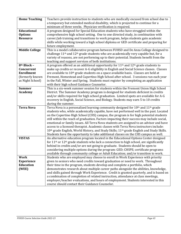| <b>Home Teaching</b>  | Teachers provide instruction to students who are medically excused from school due to                           |
|-----------------------|-----------------------------------------------------------------------------------------------------------------|
|                       |                                                                                                                 |
|                       | a temporary but extended medical disability, which is projected to continue for a                               |
|                       | minimum of three weeks. Physician verification is required.                                                     |
| <b>Educational</b>    | A program designed for Special Education students who have struggled within the                                 |
| <b>Options</b>        | comprehensive high school setting. One to one directed study, in combination with                               |
| <b>Resource</b>       | career/job training and transitions to work program, helps students gain academic                               |
|                       | skills while working toward a high school diploma or GED certificate and preparing for                          |
|                       | future employment.                                                                                              |
| <b>Middle College</b> | This is a model collaborative program between FUHSD and De Anza College designed to                             |
|                       | challenge 11 <sup>th</sup> and 12 <sup>th</sup> grade students who are academically very capable but, for a     |
|                       | variety of reasons, are not performing up to their potential. Students benefit from the                         |
|                       | teaching and support services of both institutions.                                                             |
| 8th Block -           | A program offered as an additional opportunity for $11th$ and $12th$ grade students to                          |
| Concurrent            | make up credits or recover A-G eligibility in English and Social Science classes. Classes                       |
| <b>Enrollment</b>     | are available to 10 <sup>th</sup> grade students on a space available basis. Classes are held at                |
| (formerly known       | Fremont, Homestead and Cupertino High School after school. 3 sessions run each year                             |
| as Night School)      | in the Fall, Winter and Spring. Students must register by completing an application                             |
|                       | with their high school Guidance Counselor.                                                                      |
| <b>Summer</b>         | This is a six-week summer session for students within the Fremont Union High School                             |
| <b>Academy</b>        | District. The Summer Academy program is designed for students deficient in credits                              |
|                       | and/or skills required for high school graduation. Limited spots are available for A-G                          |
|                       | recovery in English, Social Science, and Biology. Students may earn 5 to 10 credits                             |
|                       | during the summer.                                                                                              |
| <b>Terra Nova</b>     | Terra Nova is a personalized learning community designed for 10 <sup>th</sup> and 11 <sup>th</sup> grade        |
|                       | students who, while academically capable, have not performed well in the past. Located                          |
|                       | on the Cupertino High School (CHS) campus, the program is for high potential students                           |
|                       | still within the reach of graduation. Factors impacting their success may include social,                       |
|                       | emotional or family issues. All Terra Nova students are assigned to an advisor and have                         |
|                       | access to a licensed therapist. Academic classes with Terra Nova instructors include:                           |
|                       | 10th grade English, World History, and Study Skills; 11th grade English and Study Skills.                       |
|                       | Students have the opportunity to take additional classes on the CHS campus as well.                             |
| <b>VISTAS</b>         | An alternative education program located in the Educational Options Center designed                             |
|                       | for 11 <sup>th</sup> or 12 <sup>th</sup> grade students who lack a connection to high school, are significantly |
|                       | behind in credits and/or are not going to graduate. Students should be open to                                  |
|                       | considering multiple options during the program: GED; CHSPE; certificate programs                               |
|                       | available through community college or Adult Education; and/or transition to work.                              |
| <b>Work</b>           | Students who are employed may choose to enroll in Work Experience with priority                                 |
| <b>Experience</b>     | given to seniors who need credits toward graduation or need to work. Throughout                                 |
| <b>Education</b>      | their time in the program, students develop and complete a portfolio, which                                     |
| (WEE)                 | demonstrates research about multiple career paths alongside the abilities, knowledge,                           |
|                       | and skills gained through Work Experience. Credit is granted quarterly, and is based on                         |
|                       | a combination of completion of related instruction, attendance at class meetings,                               |
|                       | employer/teacher evaluations, and hours of employment. Students interested in this                              |
|                       | course should contact their Guidance Counselor.                                                                 |
|                       |                                                                                                                 |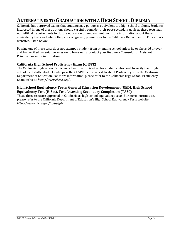# <span id="page-65-0"></span>**ALTERNATIVES TO GRADUATION WITH A HIGH SCHOOL DIPLOMA**

California has approved exams that students may pursue as equivalent to a high school diploma. Students interested in one of these options should carefully consider their post-secondary goals as these tests may not fulfill all requirements for future education or employment. For more information about these equivalency tests and where they are recognized, please refer to the California Department of Education's websites, listed below.

Passing one of these tests does not exempt a student from attending school unless he or she is 16 or over and has verified parental permission to leave early. Contact your Guidance Counselor or Assistant Principal for more information.

#### <span id="page-65-1"></span>**California High School Proficiency Exam (CHSPE)**

The California High School Proficiency Examination is a test for students who need to verify their high school level skills. Students who pass the CHSPE receive a Certificate of Proficiency from the California Department of Education. For more information, please refer to the California High School Proficiency Exam website: *<http://www.chspe.net/>* .

#### <span id="page-65-2"></span>**High School Equivalency Tests: General Education Development (GED), High School Equivalency Test (HiSet), Test Assessing Secondary Completion (TASC)**

These three tests are approved in California as high school equivalency tests. For more information, please refer to the California Department of Education's High School Equivalency Tests website: *<http://www.cde.ca.gov/ta/tg/gd/>*.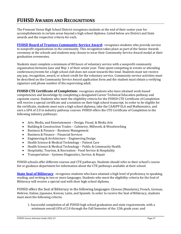# <span id="page-66-0"></span>**FUHSD AWARDS AND RECOGNITIONS**

The Fremont Union High School District recognizes students at the end of their senior year for accomplishments in certain areas beyond a high school diploma. Listed below are District and State awards and the respective criteria for each.

<span id="page-66-1"></span>**[FUHSD Board of Trustees Community Service Award:](https://www.fuhsd.org/students/community-service-award)** recognizes students who provide service to nonprofit organizations in the community. This recognition takes place as part of the Senior Awards ceremony at the schools and students may choose to wear their Community Service Award medal at their graduation ceremonies.

Students must complete a minimum of 80 hours of voluntary service with a nonprofit community organization between June and May 1 of their senior year. Time spent competing in events or attending conferences/events for a high school club does not count towards this total. Students must not receive any pay, recognition, award, or school credit for the voluntary service. Community service activities must be described on the Community Service Award application form and the student must obtain a verifying signature and phone number of the supervising adult.

<span id="page-66-2"></span>**FUHSD CTE Certificate of Completion:** recognizes students who have attained work-based competencies and knowledge by completing a designated Career Technical Education pathway and capstone course. Students who meet the eligibility criteria for the FUHSD CTE Certificate of Completion will receive a special certificate and a notation on their high school transcript. In order to be eligible for the certificate, students must earn a high school diploma, take the CAASPP ELA and Mathematics, and earn a GPA of 2.0 in industry pathway courses. FUHSD offers the CTE Certificate of Completion in the following industry pathways:

- Arts, Media, and Entertainment Design, Visual, & Media Arts
- Building & Construction Trades Cabinetry, Millwork, & Woodworking
- Business & Finance Business Management
- Business & Finance Financial Services
- Engineering & Architecture Engineering Design
- Health Science & Medical Technology Patient Care
- Health Science & Medical Technology Public & Community Health
- Hospitality, Tourism, & Recreation Food Service & Hospitality
- Transportation Systems Diagnostics, Service, & Repair

FUHSD schools offer different courses and CTE pathways. Students should refer to their school's course list or guidance department for information about the CTE pathways available at their school.

<span id="page-66-3"></span>**[State Seal of Biliteracy](https://www.fuhsd.org/students/seal-of-biliteracy)**: recognizes students who have attained a high level of proficiency in speaking, reading, and writing in two or more languages. Students who meet the eligibility criteria for the Seal of Biliteracy will receive a special seal with their high school diploma.

FUHSD offers the Seal of Biliteracy in the following languages**:** Chinese (Mandarin), French, German, Hebrew, Italian, Japanese, Korean, Latin, and Spanish. In order to receive the Seal of Biliteracy, students must meet the following criteria:

1. Successful completion of all FUHSD high school graduation and state requirements, with a minimum overall GPA of 2.0 through the Fall Semester of the 12th grade year; and